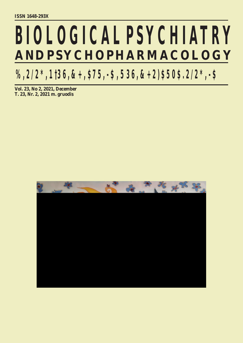# **BIOLOGICAL PSYCHIATRY AND PSYCHOPHARMACOLOGY**

 $\frac{9}{2}$  /2  $\frac{*}{2}$ , 1 3 6, &  $\frac{1}{2}$   $\frac{1}{2}$ ,  $\frac{1}{2}$ ,  $\frac{1}{2}$ ,  $\frac{1}{2}$ ,  $\frac{1}{2}$ ,  $\frac{1}{2}$ ,  $\frac{1}{2}$ ,  $\frac{1}{2}$ ,  $\frac{1}{2}$ ,  $\frac{1}{2}$ ,  $\frac{1}{2}$ ,  $\frac{1}{2}$ ,  $\frac{1}{2}$ ,  $\frac{1}{2}$ ,  $\frac{1}{2}$ ,  $\frac{1}{2}$ ,  $\frac$ 

**Vol. 23, No 2, 2021, December T. 23, Nr. 2, 2021 m. gruodis**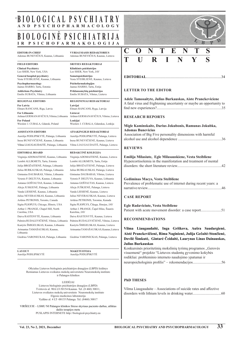### **BIOLOGINE PSICHIATRI I R P S I C H O F A R M A K O L O G I J A B I O L O G I C A L P S Y C H I A T R Y** © **A N D P S Y C H O P H A R M A C O L O G Y**

| <b>EDITOR-IN-CHIEF</b>                   | <b>VYRIAUSIASIS REDAKTORIUS</b>      |  |  |  |  |
|------------------------------------------|--------------------------------------|--|--|--|--|
| Adomas BUNEVIČIUS, Kaunas, Lithuania     | Adomas BUNEVIČIUS, Kaunas, Lietuva   |  |  |  |  |
| <b>FIELD EDITORS</b>                     | <b>SRITIES REDAKTORIAI</b>           |  |  |  |  |
| <b>Clinical Psychiatry</b>               | Klinikinės psichiatrijos             |  |  |  |  |
| Leo SHER, New York, USA                  | Leo SHER, New York, JAV              |  |  |  |  |
| General hospital psychiatry              | Somatopsichiatrijos                  |  |  |  |  |
| Vesta STEIBLIENĖ, Kaunas, Lithuania      | Vesta STEIBLIENĖ, Kaunas, Lietuva    |  |  |  |  |
| Psychopharmacology                       | Psichofarmakologijos                 |  |  |  |  |
| Jaanus HARRO, Tartu, Estonia             | Jaanus HARRO, Tartu, Estija          |  |  |  |  |
| <b>Addictions Psychiatry</b>             | Priklausomybių psichiatrijos         |  |  |  |  |
| Emilis SUBATA, Vilnius, Lithuania        | Emilis SUBATA, Vilnius, Lietuva      |  |  |  |  |
| <b>REGIONAL EDITORS</b>                  | REGIONINIAI REDAKTORIAI              |  |  |  |  |
| For Latvia                               | Latvijai                             |  |  |  |  |
| Elmars RANCANS, Riga, Latvia             | Elmars RANCANS, Ryga, Latvija        |  |  |  |  |
| For Lithuania                            | Lietuvai                             |  |  |  |  |
| Arūnas GERMANAVIČIUS, Vilnius, Lithuania | Arūnas GERMANAVIČIUS, Vilnius, Liet  |  |  |  |  |
| <b>For Poland</b>                        | Lenkijai                             |  |  |  |  |
| Wieslaw J. CUBALA, Gdansk, Poland        | Wieslaw J. CUBALA, Gdanskas, Lenkija |  |  |  |  |

**ASSISTANTS EDITORS**

Aurelija PODLIPSKYTĖ, Palanga, Lithuania Inesa BUNEVIČIENĖ, Kaunas, Lithuania Vilma LIAUGAUDAITĖ, Palanga, Lithuania

#### **EDITORIAL BOARD**

Palmira RUDALEVIČIENĖ, Vilnius, Lithuania Palmira RUDALEVIČIENĖ, Vilnius, Lietuva Virginija ADOMAITIENĖ, Kaunas, Lithuania Lembit ALLIKMETS, Tartu, Estonia Julija BROŽAITIENĖ, Palanga, Lithuania Julius BURKAUSKAS, Palanga, Lithuania Gintautas DAUBARAS, Vilnius, Lithuania Vytenis P. DELTUVA, Kaunas, Lithuania Antanas GOŠTAUTAS, Kaunas, Lithuania Alicja JUSKIENĖ, Palanga, Lithuania Vanda LIESIENĖ, Kaunas, Lithuania Julius NEVERAUSKAS, Kaunas, Lithuania Artūras PETRONIS, Toronto, Canada Sigita PLIOPLYS, Chicago, Illinois, USA Arthur J. PRANGE, Chapel Hill, North Carolina, USA Daiva RASTENYTĖ, Kaunas, Lithuania

Kastytis ŠMIGELSKAS, Kaunas, Lithuania Arimantas TAMAŠAUSKAS, Kaunas, Lithuania

Giedrius VARONECKAS, Palanga, Lietuva Giedrius VARONECKAS, Palanga, Lithuania

**LAYOUT** Aurelija PODLIPSKYTĖ

Oficialus Lietuvos biologinės psichiatrijos draugijos (LBPD) leidinys Remiamas Lietuvos sveikatos mokslų universiteto Neuromokslų instituto ir Palangos klinikos

LEIDĖJAI Lietuvos biologinės psichiatrijos draugijos (LBPD) Tvirtovės al. 90A LT-50154 Kaunas. Tel. (8 460) 30011, Lietuvos sveikatos mokslų universiteto Neuromokslų instituto Elgesio medicinos laboratorija Vydūno al. 4 LT–00135 Palanga. Tel. (8460) 30017

VIRŠELYJE – LSMU NI Palangos klinikos Streso skyriaus paciento darbas, atliktas dailės terapijos metu PUSLAPIS INTERNETE http://biological-psychiatry.eu



### **EDITORIAL**.................................................................................34

### **LETTER TO THE EDITOR**

| Emilis SUBATA, Vilnius, Lietuva                         |                                                                      |
|---------------------------------------------------------|----------------------------------------------------------------------|
| REGIONINIAI REDAKTORIAI                                 | Adele Tamosaityte, Julius Burkauskas, Aiste Pranckeviciene           |
| Latvijai                                                | A fatal virus and frightening uncertainty or maybe an opportunity to |
| Elmars RANCANS, Ryga, Latvija                           |                                                                      |
| Lietuvai<br>Arūnas GERMANAVIČIUS, Vilnius, Lietuva      | <b>RESEARCH REPORTS</b>                                              |
| Lenkijai                                                |                                                                      |
| Wieslaw J. CUBALA, Gdanskas, Lenkija                    | Migle Kaminskaite, Darius Jokubonis, Ramunas Jokubka,                |
| <b>ATSAKINGIEJI REDAKTORIAI</b>                         | <b>Adomas Bunevicius</b>                                             |
| Aurelija PODLIPSKYTĖ, Palanga, Lietuva                  | Association of Big Five personality dimensions with harmful          |
| Inesa BUNEVIČIENĖ, Kaunas, Lietuva                      |                                                                      |
| Vilma LIAUGAUDAITĖ, Palanga, Lietuva                    |                                                                      |
|                                                         | <b>REVIEWS</b>                                                       |
| REDAKCINĖ KOLEGIJA                                      |                                                                      |
| Virginija ADOMAITIENĖ, Kaunas, Lietuva                  | Emilija Milasiute, Egle Milasauskiene, Vesta Steibliene              |
| Lembit ALLIKMETS, Tartu, Estija                         | Hypercortisolemia in the manifestation and treatment of mental       |
| Julija BROŽAITIENĖ, Palanga, Lietuva                    |                                                                      |
| Julius BURKAUSKAS, Palanga, Lietuva                     |                                                                      |
| Gintautas DAUBARAS, Vilnius, Lietuva                    |                                                                      |
| Vytenis P. DELTUVA, Kaunas, Lithuania                   | Gediminas Macys, Vesta Steibliene                                    |
| Antanas GOŠTAUTAS, Kaunas, Lietuva                      | Prevalence of problematic use of internet during recent years: a     |
| Alicja JUŠKIENĖ, Palanga, Lietuva                       |                                                                      |
| Vanda LIESIENĖ, Kaunas, Lietuva                         |                                                                      |
| Julius NEVERAUSKAS, Kaunas, Lietuva                     | <b>CASE REPORT</b>                                                   |
| Artūras PETRONIS, Torontas, Kanada                      |                                                                      |
| Sigita PLIOPLYS, Čikaga, Ilinojus, JAV                  | Egle Radaviciute, Vesta Steibliene                                   |
| Arthur J. PRANGE, Čapel Hilas, Šiaurės<br>Karolina, JAV | Patient with acute movement disorder: a case report51                |
| Daiva RASTENYTĖ, Kaunas, Lietuva                        | <b>RECOMMENDATIONS</b>                                               |
| Palmira RUDALEVIČIENĖ, Vilnius, Lietuva                 |                                                                      |
| Kastytis ŠMIGELSKAS, Kaunas, Lietuva                    |                                                                      |
| Arimantas TAMAŠAUSKAS, Kaunas, Lietuva                  | Vilma Liaugaudaitė, Inga Griškova, Aušra Saudargienė,                |
|                                                         | Aistė Pranckevičienė, Rima Naginienė, Julija Gečaitė-Stončienė,      |
| Giedrius VARONECKAS, Palanga, Lietuva                   | Dovilė Šimkutė, Gintarė Čeidaitė, Laurynas Linas Dainauskas,         |
|                                                         | <b>Julius Burkauskas</b>                                             |
|                                                         | Konkursinės prioritetinių mokslinių tyrimų programos "Gerovės        |
| <b>MAKETUOTOJA</b>                                      | visuomenė" projekto "Lietuvos studentų gyvenimo kokybės              |
| Aurelija PODLIPSKYTĖ                                    | rodikliai: probleminio interneto naudojimo ypatumai ir               |
|                                                         | neuropsichologinis profilis" - rekomendacijos56                      |
|                                                         |                                                                      |
| iatrijos draugijos (LRPD) leidinys                      |                                                                      |

### **PhD THESES**

Vilma Liaugaudaite – Associations of suicide rates and affective disorders with lithium levels in drinking water...............................60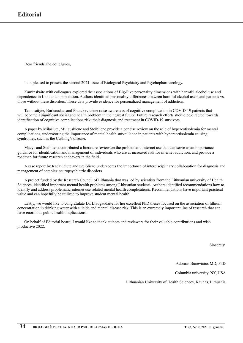Dear friends and colleagues,

I am pleased to present the second 2021 issue of Biological Psychiatry and Psychopharmacology.

Kaminskaite with colleagues explored the associations of Big-Five personality dimensions with harmful alcohol use and dependence in Lithuanian population. Authors identified personality differences between harmful alcohol users and patients vs. those without these disorders. These data provide evidence for personalized management of addiction.

Tamosaityte, Burkauskas and Pranckeviciene raise awareness of cognitive complication in COVID-19 patients that will become a significant social and health problem in the nearest future. Future research efforts should be directed towards identification of cognitive complications risk, their diagnosis and treatment in COVID-19 survivors.

A paper by Milasiute, Miliauskiene and Steibliene provide a concise review on the role of hypercotisolemia for mental complications, underscoring the importance of mental health surveillance in patients with hypercortisolemia causing syndromes, such as the Cushing's disease.

Macys and Steibliene contributed a literature review on the problematic Internet use that can serve as an importance guidance for identification and management of individuals who are at increased risk for internet addiction, and provide a roadmap for future research endeavors in the field.

A case report by Radaviciute and Steibliene underscores the importance of interdisciplinary collaboration for diagnosis and management of complex neuropsychiatric disorders.

A project funded by the Research Council of Lithuania that was led by scientists from the Lithuanian university of Health Sciences, identified important mental health problems among Lithuanian students. Authors identified recommendations how to identify and address problematic internet use related mental health complications. Recommendations have important practical value and can hopefully be utilized to improve student mental health.

Lastly, we would like to congratulate Dr. Liaugaudaite for her excellent PhD theses focused on the association of lithium concentration in drinking water with suicide and mental disease risk. This is an extremely important line of research that can have enormous public health implications.

On behalf of Editorial board, I would like to thank authors and reviewers for their valuable contributions and wish productive 2022.

Sincerely,

Adomas Bunevicius MD, PhD

Columbia university, NY, USA

Lithuanian University of Health Sciences, Kaunas, Lithuania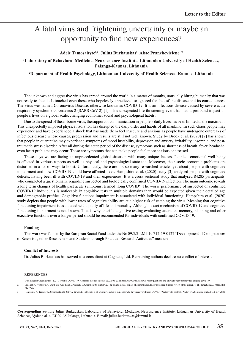# A fatal virus and frightening uncertainty or maybe an opportunity to find new experiences?

**Adele Tamosaityte1,2, Julius Burkauskas1 , Aiste Pranckeviciene1,2**

**1 Laboratory of Behavioral Medicine, Neuroscience Institute, Lithuanian University of Health Sciences, Palanga-Kaunas, Lithuania**

**2 Department of Health Psychology, Lithuanian University of Health Sciences, Kaunas, Lithuania**

The unknown and aggressive virus has spread around the world in a matter of months, unusually hitting humanity that was not ready to face it. It touched even those who hopelessly unbelieved or ignored the fact of the disease and its consequences. The virus was named Coronavirus Disease, otherwise known as COVID-19. It is an infectious disease caused by severe acute respiratory syndrome coronavirus 2 (SARS-CoV-2) [1]. This unexpected life-threatening event has had a profound impact on people's lives on a global scale, changing economic, social and psychological habits.

Due to the spread of the airborne virus, the support of communication in people's daily lives has been limited to the maximum. This unexpectedly imposed physical isolation has disrupted the daily order and habits of all mankind. In such chaos people may experience and have experienced a shock that has made them feel insecure and anxious as people have undergone outbreaks of infectious disease whose causes, progression and results are still not well known. Study by Brook et al. (2020) [2] has shown that people in quarantine may experience symptoms of mood instability, depression and anxiety, irritability, insomnia, and posttraumatic stress disorder. After all during the acute period of the disease, symptoms such as shortness of breath, fever, headache, even heart problems may occur. These are symptoms that can make people feel more anxious or stressed.

These days we are facing an unprecedented global situation with many unique factors. People`s emotional well-being is effected in various aspects as well as physical and psychological state too. Moreover, their socio-economic problems are disturbed in a lot of ways to boost. Unfortunately, there are not so many researched articles yet about people with cognitive impairment and how COVID-19 could have affected lives. Hampshire et al. (2020) study [3] analysed people with cognitive deficits, having been ill with COVID-19 and their experiences. It is a cross sectional study that analysed 84285 participants, who completed a questionnaire regarding suspected and biologically confirmed COVID-19 infection. The main outcome reveals a long term changes of health past acute symptoms, termed , long COVID'. The worse performance of suspected or confirmed COVID-19 individuals is noticeable in cognitive tests in multiple domains than would be expected given their detailed age and demographic profiles. Cognitive functions impairment is associated with individual functioning. Hampshire et al. (2020) study depicts that people with lower rates of cognitive ability are at a higher risk of catching the virus. Meaning that cognitive functioning impairment is associated with quality of life and mortality. Although, exact mechanism of COVID-19 and cognitive functioning impairment is not known. That is why specific cognitive testing evaluating attention, memory, planning and other executive functions over a longer period should be recommended for individuals with confirmed COVID-19.

### **Funding**

This work was funded by the European Social Fund under the No 09.3.3-LMT-K-712-19-0127 "Development of Competences of Scientists, other Researchers and Students through Practical Research Activities" measure.

### **Conflict of Interests**

Dr. Julius Burkauskas has served as a consultant at Cogstate, Ltd. Remaining authors declare no conflict of interest.

#### **References**

- 1. World Health Organization (2021). What is COVID-19. Accessed through internet (2022-01-20): https://www.who.int/news-room/questions-and-answers/item/coronavirus-disease-covid-19;
- 2. Brooks SK, Webster RK, Smith LE, Woodland L, Wessely S, Greenberg N, Rubin GJ. The psychological impact of quarantine and how to reduce it: rapid review of the evidence. The lancet 2020, 395(10227): 912–920.
- Hampshire A, Trender W, Chamberlain S, Jolly A, Grant JE, Patrick F, et al. Cognitive deficits in people who have recovered from COVID-19 relative to controls: An N= 84,285 online study. MedRxiv 2020.

**Corresponding author:** Julius Burkauskas, Laboratory of Behavioral Medicine, Neuroscience Institute, Lithuanian University of Health Sciences, Vyduno al. 4, LT-00135 Palanga, Lithuania. E-mail: julius.burkauskas@lsmuni.lt.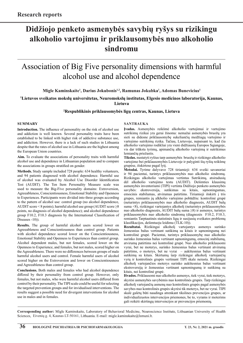# **Didžiojo penketo asmenybės savybių ryšys su rizikingu alkoholio vartojimu ir priklausomybės nuo alkoholio sindromu**

### Association of Big Five personality dimensions with harmful alcohol use and alcohol dependence

**Migle Kaminskaite1 , Darius Jokubonis1,2, Ramunas Jokubka1 , Adomas Bunevicius1**

**1 Lietuvos sveikatos mokslų universitetas, Neuromokslų institutas, Elgesio medicinos laboratorija, Kaunas, Lietuva**

**2 Respublikinis priklausomybės ligų centras, Kaunas, Lietuva** 

### **Summary**

**Introduction.** The influence of personality on the risk of alcohol use and addiction is well known. Several personality traits have been established to be linked with higher risk of addictive substance use, and addiction. However, there is a lack of such studies in Lithuania despite that the rates of alcohol use in Lithuania are the highest among the European Union countries.

**Aim.** To evaluate the associations of personality traits with harmful alcohol use and dependence in Lithuanian population and to compare the associations in groups stratified on gender.

**Methods.** Study sample included 728 people: 634 healthy volunteers, and 94 patients diagnosed with alcohol dependence. Harmful use of alcohol was evaluated by Alcohol Use Disorder Identification Test (AUDIT). The Ten Item Personality Measure scale was used to measure the Big-Five personality domains: Extroversion, Agreeableness, Conscientiousness, Emotional Stability and Openness to Experiences. Participants were divided into three groups according to the pattern of alcohol use: control group (no alcohol dependence, AUDIT score < 8 points); harmful alcohol use group (AUDIT score  $\geq$ 8 points, no diagnosis of alcohol dependence); and alcohol dependence group F10.2, F10.3 diagnosis by the International Classification of Diseases -10)).

**Results.** The group of harmful alcohol users scored lower on Agreeableness and Conscientiousness than control group. Patients with alcohol dependence scored lower on the Conscientiousness, Emotional Stability and Openness to Experiences than control group. Alcohol dependent males, but not females, scored lower on the Openness to Experience, and females, but not males, scored higher on the Agreeableness. There were no differences between groups of male harmful alcohol users and control. Female harmful users of alcohol scored higher on the Extroversion and lower on Conscientiousness and Agreeableness than control group.

**Conclusions.** Both males and females who had alcohol dependence differed by their personality from control group. However, only females, but not males, who were harmful alcohol users differed from control by their personality. The TIPI scale could be useful for selecting the targeted prevention groups and for invidualised interventions. The results suggest a possible need for divergent interventions for alcohol use in males and in females.

### **SANTRAUKA**

**Įvadas.** Asmenybės reikšmė alkoholio vartojimui ir vartojimo sutrikimų rizikai yra gerai žinoma: nemažai asmenybės bruožų yra sieti su didesne priklausomybę sukeliančių medžiagų vartojimo ir vartojimo sutrikimų rizika. Tačiau, Lietuvoje, nepaisant to, kad čia alkoholio vartojimo rodikliai yra vieni didžiausių Europos Sąjungoje, vis dar trūksta tyrimų, apimančių alkoholio vartojimą ir sutrikimus lemiančių priežastis.

**Tikslas.** nustatyti ryšius tarp asmenybės bruožų ir rizikingo alkoholio vartojimo bei priklausomybės Lietuvoje ir palyginti šių ryšių reikšmę grupėse, išskirtose pagal lytį.

**Metodai.** Tyrime dalyvavo 728 tiriamieji: 634 sveiki savanoriai ir 94 pacientai, turintys priklausomybės nuo alkoholio sindromą. Rizikingas alkoholio vartojimas vertintas Sutrikimų, atsiradusių dėl alkoholio vartojimo testu (AUDIT). Dešimties klausimų asmenybės inventoriumi (TIPI) vertinta Didžiojo penketo asmenybės savybės: ekstroversija, sutikimas su kitais, sąmoningumas, emocinis stabilumas, atvirumas patirtims. Tiriamieji išskirti į tris grupes, remiantis jų alkholio vartojimo pobūdžiu: kontrolinė grupė (neturintys priklausomybės nuo alkoholio diagnozės, AUDIT balų suma <8), rizikingai vartojantys alkoholį (neturintys priklausomybės nuo alkoholio diagnozės, AUDIT balų suma ≥8) ir asmenys, turintys priklausomybės nuo alkoholio sindromą (diagnozės F10.2, F10.3, remiantis Tarptautinės statistinės ligų ir susijusių sveikatos problemų klasifikacijos, dešimtuoju leidimu (TLK-10)).

**Rezultatai.** Rizikingai alkoholį vartojantys asmenys surinko žemesnius balus vertinant sutikimą su kitais ir sąmoningumą nei kontrolinė grupė. Pacientai, turintys priklausomybę nuo alkoholio surinko žemesnius balus vertinant sąmoningumą, emocinį stabilumą, atvirumą patirtims nei kontrolinė grupė. Nuo alkoholio priklausomi vyrai, bet ne moterys, surinko žemesnius balus vertinant atvirumą patirtims, o moterys, bet ne vyrai – aukštesnius balus vertinant sutikimą su kitais. Skirtumų tarp rizikingai alkoholį vartojančių vyrų ir kontrolinės grupės vertinant TIPI skale nerasta. Rizikingai alkoholį vartojančios moterys surinko aukštesnius balus vertinant ekstroversiją ir žemesnius vertinant sąmoningumą ir sutikimą su kitais, nei kontrolinė grupė.

**Išvados.** Priklausomi nuo alkoholio asmenys, tiek vyrai, tiek moterys, skyrėsi asmenybės savybėmis nuo kontrolinės grupės. Tarp rizikingai alkoholį vartojančių asmenų nuo kontrolinės grupės pagal asmenybės savybes nuo kontrolinės grupės skyrėsi tik moterys, bet ne vyrai. TIPI skalė galėtų būti naudinga atrenkant tikslines prevencijos grupes, ar individualizuotos intervencijos priemones, be to, vyrams ir moterims gali reikėti skirtingų intervencijos ar prevencijos priemonių.

**Corresponding author:** Migle Kaminskaite, Laboratory of Behavioral Medicine, Neuroscience Institute, Lithuanian University of Health Sciences, Eivenių g. 4, Kaunas LT-50161, Lithuania. E-mail: migle.kaminskaite@lsmuni.lt.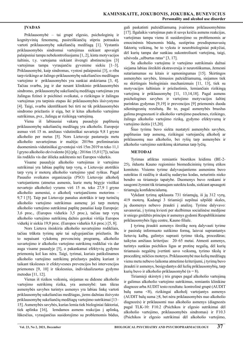### **Įvadas**

Priklausomybė – tai grupė elgesio, psichologinių ir kognityvinių fenomenų, pasireiškiančių stipriu potraukiu vartoti priklausomybę sukeliančią medžiagą [1]. Vystantis priklausomybės sindromui vartojimas siekiant apsvaigti palaipsniui tampa nebekontroliuojamu [1, 2], kinta motyvacijos šaltinis, t.y. vartojama siekiant išvengti abstinencijos [3] vartojimas tampa vyraujančiu gyvenime siekiu [1–3]. Priklausomybė, kaip sindromas, vystosi palaipsniui [3], o riba tarp rizikingo ar žalingo priklausomybę sukeliančios medžiagos vartojimo ir priklausomybės yra sunkiai atskiriama [3, 4]. Tačiau svarbu, jog ir dar nesant klinikinio priklausomybės sindromo, priklausomybę sukeliančių medžiagų vartojimas yra žalingas fizinei ir psichinei sveikatai, o rizikingas ir žalingas vartojimas yra tarpinis etapas iki priklausomybės išsivystymo [4]. Taigi, svarbu identifikuoti bei tirti ne tik priklausomybės sindromo priežastis ir eigą, bet ir kitus alkoholio vartojimo sutrikimus, pvz., žalingą ar rizikingą vartojimą.

Viena iš labiausiai vakarų pasaulyje paplitusių priklausomybę sukeliančių medžiagų yra alkoholis. Europoje asmuo virš 15 m. amžiaus vidutiniškai suvartoja 9,8 l gryno alkoholio per metus [5]. Nors Lietuvoje pastaruoju metu alkoholio suvartojimas ir mažėja: 2019m preliminariais duomenimis vidutiniškai gyventojui virš 15m 2019 m teko 11,1 l gryno alkoholio ekvivalento [6] (plg.: 2016m 15,0 l [7]), tačiau šis rodiklis vis dar išlieka aukštesnis nei Europos vidurkis.

Visame pasaulyje alkoholio vartojimas ir vartojimo sutrikimai yra labiau paplitę tarp vyrų, o Lietuvoje atotrūkis tarp vyrų ir moterų alkoholio vartojimo ypač ryškus. Pagal Pasaulio sveikatos organizacija (PSO) Lietuvoje alkoholį vartojantiems (atmetus asmenis, kurie metų bėgyje visiškai nevartojo alkoholio) vyrams virš 15 m. teko 27,9 l gryno alkoholio asmeniui, o alkoholį vartojančioms moterims – 9,7 l [5]. Taip pat Lietuvoje panašus atotrūkis ir tarp turinčių alkoholio vartojimo sutrikimus asmenų: jei tarp moterų alkoholio vartojimo sutrikimai paplitę panašiai kaip Europoje: 3,6 proc., (Europos vidurkis 3,5 proc.), tačiau tarp vyrų alkoholio vartojimo sutrikimų dažnis gerokai viršija Europos vidurkį ir siekia 19,9 proc. (Europos vidurkis 8,6 proc.) [5, 8].

Nors Lietuva išsiskiria alkoholio suvartojimo rodikliais, tačiau trūksta tyrimų apie tai sąlygojančias priežastis. Be to nepaisant vykdomų prevencinių programų, alkoholio suvartojimo ir alkoholio vartojimo sutrikimų rodikliai vis dar auga visame pasaulyje [5], o pakankamai efektyvių gydymo priemonių kol kas nėra. Taigi, tyrimai, kuriais patikslinamos alkoholio vartojimo sutrikimų priežastys padėtų kuriant ir taikant tikslesnes ir efektyvesnes prevencijos bei intervencijos priemones [9, 10] ir tikslesnius, individualizuotus gydymo metodus [11, 12].

Vienas iš rizikos veiksnių, siejamas su didesne alkoholio vartojimo sutrikimų rizika, yra asmenybė: tam tikras asmenybės savybes turintys asmenys yra labiau linkę vartoti priklausomybę sukeliančias medžiagas, jiems dažniau išsivysto priklausomybę sukeliančių medžiagų vartojimo sutrikimai [13– 15]. Asmenybės savybės, kurias lemia tiek biologiniai faktoriai, tiek aplinka [16], lemdamos asmens reakcijas į aplinką, lūkesčius, vyraujančius susidorojimo su problemomis būdus,

gali paskatinti pažeidžiamumą įvairioms priklausomybėms [17]. Ilgalaikis vartojimas pats iš savęs keičia asmens reakcijas, vartojimas tampa vienu iš susidorojimo su problemomis ar emocinėmis būsenomis būdų, sustiprina presdisponavusių faktorių veikimą, be to vyksta ir neurobiologiniai pokyčiai, dėl kurių tampa dar sunkiau sukontroliuoti vartojimą, taigi, užsiveda "užburtas ratas" [3, 17].

Su alkoholio vartojimu ir vartojimo sutrikimais dažnai siejama labiau išreikšti ekstraversija ir neurotiškumas, žemesni sutariamumas su kitais ir sąmoningumas [15]. Skirtingos asmenybės savybės, lėmusios pažeidžiamumą, siejamos tiek su skirtingais biologiniais mechanizmais [11, 13], tiek su motyvacijos šaltiniais ir priežastimis, lemiančiais rizikingą vartojimą ir priklausomybę [11, 13,14,18]. Pagal asmens psichologines savybes ir vartojimo motyvacijos šaltinį parinktas gydymas [9,19] ir prevencijos [9] priemonės duoda sėkmingesnių rezultatų. Be to, pagal asmenybės bruožus galima prognozuoti ir alkoholio vartojimo pasekmes, rizikingo, žalingo alkoholio vartojimo riziką, gydymo efektyvumą ir vartojimo išeitis [15,20].

Šiuo tyrimu buvo siekta nustatyti asmenybės savybes, paplitusias tarp asmenų, rizikingai vartojančių alkoholį ar priklausomų nuo alkoholio, bei ryšių tarp asmenybės ir alkoholio vartojimo sutrikimų skirtumus tarp lyčių.

### **Metodai**

Tyrimas atliktas remiantis bioetikos leidimu (BE-2- 25), išduotu Kauno regioninio biomedicininių tyrimų etikos komiteto. Visiems tyrime dalyvaujantiems asmenims buvo suteiktas iš raidžių ir skaičių sudarytas kodas, neturintis nieko bendro su tiriamojo tapatybe. Duomenys buvo renkami ir saugomi žymint tik tiriamajam suteiktu kodu, siekiant apsaugoti tiriamųjų konfidencialumą.

Vykdant tyrimą apklausta 731 tiriamųjų, iš jų 312 vyrų, 419 moterų. Kadangi 3 tiriamieji nepilnai užpildė skales, jų duomenys nebuvo įtraukti į analizę. Tyrime dalyvavo: savanoriai, į tyrimą kviesti per skelbimus socialinėse medijose ir sniego gniūžtės principu ir asmenys gydomi Respublikiniame priklausomybės ligų centre, Kauno filiale.

Į tyrimą įtraukti asmenys išreiškę norą dalyvauti tyrime ir pasirašę informuoto sutikimo formą, laisvai suprantantys lietuvių kalbą, galintys suprasti tyrimo tikslą, procedūras; taikytas amžiaus kriterijus: 20–65 metai. Atmesti asmenys, turintys sunkias psichikos ligas ar protinę negalią, dėl kurių tiriamasis negalėtų įvertinti savo veiksmų, tyrimo tikslų ir procedūrų; nėščios moterys. Priklausomybė nuo kelių medžiagų vienu metu nebuvo laikoma atmetimo kriterijumi, į tyrimą buvo įtraukti ir asmenys, besigydantys dėl kelių priklausomybių, tarp kurių buvo ir alkoholio priklausomybė  $(n = 8)$ .

Tiriamieji skirstyti į tris grupes pagal alkoholio vartojimą ir galimus alkoholio vartojimo sutrikimus, remiantis klinikine diagnoze arba AUDIT testo rezultatu: kontrolinė grupė (AUDIT balų suma <8), rizikingai alkoholį vartojantys asmenys (AUDIT balų suma ≥8, bet nėra priklausomybės nuo alkoholio diagnozės) ir priklausomi nuo alkoholio asmenys (diagnozės pagal TLK-10: F10.2 (Psichikos ir elgesio sutrikimai dėl alkoholio vartojimo, priklausomybės sindromas) ir F10.3 (Psichikos ir elgesio sutrikimai dėl alkoholio vartojimo,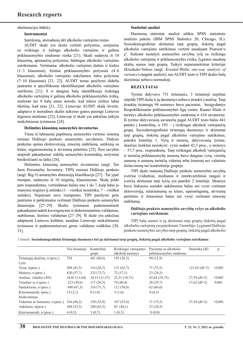### abstinencijos būklė).

### **Instrumentai**

Sutrikimų, atsiradusių dėl alkoholio vartojimo testas

AUDIT skalė yra skirta vertinti požymius, susijusius rizikingu ir žalingu alkoholio vartojimu ir galima priklausomybės sindromo rizika [21]. Skalė sudaryta iš 10 klausimų, apimančių požymius, būdingus alkoholio vartojimo sutrikimams. Vertinama: alkoholio vartojimo dažnis ir kiekis (1–3 klausimai), fiziniai priklausomybės požymiai (4–6 klausimai), alkoholio vartojimo sukeliamos žalos požymiai (7–10 klausimai) [21, 22]. AUDIT testas pasižymi dideliu jautrumu ir specifiškumu identifikuojant alkoholio vartojimo sutrikimu [21]. 8 ir daugiau balų identifikuoja rizikingą alkoholio vartojimą ir galimą alkoholio priklausomybės riziką, mažesnė nei 8 balų suma nurodo, kad tokios rizikos labai tikėtina, kad nėra [21, 22]. Lietuvoje AUDIT skalę išvertė, adaptavo ir metodines skalės taikymo gaires parengė Lietuvos higienos institutas [23], Lietuvoje ši skalė yra anksčiau taikyta moksliniuose tyrimuose [24].

### **Dešimties klausimų asmenybės inventorius**

Viena iš labiausiai paplitusių asmenybės vertimo sistemų remiasi Didžiojo penketo asmenybės savybėmis. Didysis penketas apima ekstroversiją, emocinį stabilumą, sutikimą su kitais, organizuotumą ir atvirumą patirtims [25]. Šios savybės atspindi pakankamai stabilų asmenybės konstruktą, nežymiai besikeičianti su laiku [26].

Dešimties klausimų asmenybės inventorius (angl. Ten Item Personality Inventory, TIPI) remiasi Didžiojo penketo (angl. Big-5) asmenybės dimensijų klasifikacija [27]. Tai ypač trumpas, sudarytas iš 10 teiginių, klausimynas. Skalę pildo pats respondentas, vertindamas balais nuo 1 iki 7, kaip labai jo manymu teiginys jį atitinka (1 – visiškai nesutinku, 7 – visiškai sutinku). Nepaisant savo trumpumo, TIPI pasižymi geru jautrumu ir patikimumu vertinant Didžiojo penketo asmenybės dimensijas [27–29]. Skalės tyrimuose pademonstruoti pakankamai aukšti kovergencinis ir diskriminantinis validumas, stabilumas, išorinis validumas [27–29]. Ši skalė yra anksčiau adaptuota Lietuvos kultūrai, naudota Lietuvoje moksliniuose tyrimuose ir pademonstravusi gerus validumo rodiklius [30, 31].

### **Statistinė analizė**

Duomenų statistinė analizė atlikta SPSS statistinės analizės paketu (IBM SPSS Statistics 20, Chicago, IL). Sociodemografiniai skirtumai tarp grupių, išskirtų pagal alkoholio vartojimo sutrikimus vertinti naudojant Pearson'o χ2 . Siekiant nustatyti asmenybės savybių ryšį su rizikingu alkoholio vartojimu ir priklausomybės rizika, lygintos naudotų skalių sumos tarp grupių. Taikyti neparametriniai kriterijai (Kruskalo-Voleso (angl. *Kruskal-Wallis one-way analysis of variance*) ranginė analizė), nes AUDIT testo ir TIPI skalės balų skirstiniai nebuvo normalieji.

### **Rezultatai**

Tyrime dalyvavo 731 tiriamasis, 3 tiriamieji nepilnai užpildė TIPI skalę ir jų duomenys nebuvo įtraukti į analizę. Tarp įtrauktų tiriamųjų 94 asmenys buvo pacientai, besigydantys Respublikiniame priklausomybės ligų centre, Kauno filiale ir turintys alkoholio priklausomybės sindromą ir 634 savanoriai. Iš tyrime dalyvavusių savanorių pagal AUDIT testo balus 441 pateko į kontrolinę, o 193 – į rizikingai alkoholį vartojančių grupę. Sociodemografiniai tiriamųjų duomenys ir skirtumai tarp grupių, išskirtų pagal alkoholio vartojimo sutrikimus, pateikti lentelėje 1. Vyrų ir moterų, dalyvavusių tyrime, skaičius ženkliai nesiskyrė: vyrai sudarė 42,3 proc., o moterys – 57,7 proc. respondentų. Tarp rizikingai alkoholį vartojančių ir turinčių priklausomybę asmenų buvo daugiau vyrų, vienišų asmenų ir asmenų turinčių vidurinį arba žemesnį nei vidurinis išsilavinimą nei kontrolinėje grupėje.

TIPI skale matuotų Didžiojo penketo asmenybės savybių įverčiai (vidurkiai, medianos ir interkvartiliniai rangai) ir įverčių skirtumai tarp lyčių yra pateikti 2 lentelėje. Moterys buvo linkusios surinkti aukštesnius balus nei vyrai vertinant ektroversiją, sutariamumą su kitais, sąmoningumą, atvirumą patirtims ir žemesnius balus nei vyrai vertinant emocinį stabilumą.

### **Didžiojo penketo asmenybės savybių ryšys su alkoholio vartojimo sutrikimais**

TIPI balų sumos ir jų skirtumai tarp grupių išskirtų pagal alkoholio vartojimą yra pateikiami 3 lentelėje. Lyginant Didžiojo penketo asmenybės savybes tarp grupių, išskirtų pagal alkoholio

| <i>l lentelė.</i> Sociodemografiniai tiriamųjų duomenys bei jų skirtumai tarp grupių, išskirtų pagal alkoholio vartojimo sutrikimus |  |  |  |
|-------------------------------------------------------------------------------------------------------------------------------------|--|--|--|
|-------------------------------------------------------------------------------------------------------------------------------------|--|--|--|

|                                  | Visi tiriamieji | Kontrolinė<br>grupė | Rizikingai vartojantys<br>alkoholi asmenys | Pacientai su alkoholio<br>priklausomybės sindromu | Statistika (df) | p       |
|----------------------------------|-----------------|---------------------|--------------------------------------------|---------------------------------------------------|-----------------|---------|
| Tiriamųjų skaičius, n (proc.)    | 728             | 441(60,6)           | 193(26,5)                                  | 94 (12,9)                                         |                 |         |
| Lytis                            |                 |                     |                                            |                                                   |                 |         |
| Vyrai, n(proc.)                  | 308(42,3)       | 116(26,3)           | 121(62,7)                                  | 71 (75.5)                                         | $121,65$ (df=2) | < 0.001 |
| Moterys, n (proc.)               | 420(57,7)       | 325(73,7)           | 72(37,3)                                   | 23(24,5)                                          |                 |         |
| Amžius, vidurkis (SN)            | 34,81 (11,64)   | 34,15(11,57)        | 32,51(10,71)                               | 42,64 (10,73)                                     | $27,59$ (df=2)  | < 0.001 |
| Vienišas/-a, n (proc.)           | 223(30,6)       | 117(26,5)           | 78 (40,4)                                  | 28(29,7)                                          | $17,62$ (df=2)  | 0,001   |
| Santykiuose, n (proc.)           | 490(67,3)       | 316(71,7)           | 112(58,0)                                  | 62(66,0)                                          |                 |         |
| Kita/nenurodė, (proc.)           | 15(2,1)         | 8 (1,8)             | 3(1,6)                                     | 4(4,3)                                            |                 |         |
| Išsilavinimas                    |                 |                     |                                            |                                                   |                 |         |
| Vidurinis ar žemesnis, n (proc.) | 336(46,2)       | 158 (35,8)          | 107(55,4)                                  | 71 (75,5)                                         | $57,58$ (df=2)  | < 0.001 |
| Aukštasis, n(proc.)              | 388 (53,3)      | 280(63,5)           | 85(44,1)                                   | 23(24,5)                                          |                 |         |
| Kita/nenurodė, n (proc.)         | 4(0,5)          | 3(0,7)              | 1(0,5)                                     | 0(0,0)                                            |                 |         |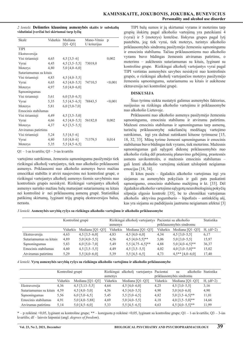*2 lentelė.* **Dešimties klausimų asmenybės skalės ir subskalių vidutiniai įverčiai bei skirtumai tarp lyčių**

| Skalė                  |      | Vidurkis Mediana        | Mano-Vitnio  | p       |
|------------------------|------|-------------------------|--------------|---------|
|                        |      | $[Q1-Q3]$               | U kriterijus |         |
| <b>TIPI</b>            |      |                         |              |         |
| Ekstraversija          |      |                         |              |         |
| Visi tiriamieji        | 4,65 | $4,5$ [3,5-6]           |              | 0,002   |
| Vyrai                  | 4,45 | $4,5$ [3,5–5,5] 73018,0 |              |         |
| Moterys                | 4,80 | $5,0$ [4,0-6,0]         |              |         |
| Sutariamumas su kitais |      |                         |              |         |
| Visi tiriamieji        | 4,83 | $4,5$ [4,0-5,5]         |              |         |
| Vyrai                  | 4,65 | $4,5$ [4,0-5,5]         | 74710,5      | < 0,001 |
| Moterys                | 4,97 | $5,0$ [4,0-6,0]         |              |         |
| Sąmoningumas           |      |                         |              |         |
| Visi tiriamieji        | 5,61 | $6,0$ [5,0–6,5]         |              |         |
| Vyrai                  | 5,35 | $5,5$ [4,5-6,5]         | 78843,5      | < 0.001 |
| Moterys                | 5,81 | $6,0$ [5,0-7,0]         |              |         |
| Emocinis stabilumas    |      |                         |              |         |
| Visi tiriamieji        | 4,49 | 4,5 $[3,5-5,0]$         |              |         |
| Vyrai                  | 4,66 | $4,5$ [4,0-5,5]         | 56182,0      | 0,002   |
| Moterys                | 4,37 | $4,5$ [3,5-5,5]         |              |         |
| Atvirumas patirtims    |      |                         |              |         |
| Visi tiriamieji        | 5,24 | $5,5$ [4,5-6]           |              |         |
| Vyrai                  | 4,80 | $5,0$ [4,0-6]           | 71379,5      | 0,014   |
| Moterys                | 5,35 | $5,5$ [4,5-6,5]         |              |         |

Q1 – 1-as kvartilis; Q3 – 3-ias kvartilis

vartojimo sutrikimus, žemesniu sąmoningumu pasižymėjo tiek rizikingai alkoholį vartojantys, tiek nuo alkoholio priklausomi asmenys. Priklausomi nuo alkoholio asmenys buvo mažiau emociškai stabilūs ir atviri naujovėms nei kontrolinė grupė, o rizikingai vartojantys alkoholį asmenys šiomis savybėmis nuo kontrolinės grupės nesiskyrė. Rizikingai vartojantys alkoholį asmenys surinko mažiau balų matuojant sutariamumą su kitais nei kontrolinė ir nei priklausomų asmenų grupė. Statistiškai patikimų skirtumų, lyginant trijų grupių ekstraversijos balus, nerasta.

TIPI balų sumos ir jų skirtumai vyrams ir moterims tarp grupių išskirtų pagal alkoholio vartojimą yra pateikiami 4 (vyrai) ir 5 (moterys) lentelėse. Išskyrus grupes pagal lytį pastebėta, jog tiek vyrai, tiek moterys, turintys alkoholio priklausomybės sindromą pasižymėjo žemesniu sąmoningumu ir emociniu stabilumu. Tačiau priklausomiems nuo alkoholio vyrams buvo būdingas žemesnis atvirumas patirtims, o moterims – aukštesnis sutariamumas su kitais, lyginant su kontroline grupe. Rizikingai alkoholį vartojantys vyrai pagal TIPI vertintas asmenybės savybes nesiskyrė nuo kontrolinės grupės, o rizikingai alkoholį vartojančios moterys pasižymėjo žemesniu sąmoningumu, sutariamumu su kitais ir aukštesne ektraversija nei kontrolinė grupė.

### **Diskusija**

Šiuo tyrimu siekta nustatyti galimus asmenybės faktorius, susijusius su rizikingu alkoholio vartojimu ir priklausomybe nuo alkoholio Lietuvoje.

Priklausomi nuo alkoholio asmenys pasižymėjo žemesniu sąmoningumu, emociniu stabilumu ir atvirumu patirtims. Mažesni emocinis stabilumas ir sąmoningumas tarp asmenų, turinčių priklausomybę sukeliančių medžiagų vartojimo sutrikimus, irgi yra dažnai sutinkami kituose tyrimuose [15, 18, 32, 33]. Mūsų tyrime žemesni sąmoningumas ir emocinis stabilumas buvo būdingas tiek vyrams, tiek moterims. Mažesnis sąmoningumas gali sąlygoti didesnę priklausomybės nuo alkoholio riziką dėl prastesnių planavimo gebėjimų, prastesnės asmens savikontrolės, o mažesnis emocinis stabilumas – gali lemti alkoholio vartojimą siekiant užslopinti neigiamas emocijas [18, 34].

Iš kitos pusės – ilgalaikis alkoholio vartojimas irgi yra siejamas su asmenybės pokyčiais ir gali pats paskatinti sąmonigumo, emocinio stabilumo mažėjimą ir kt. [33]. Dėl ilgalaikio alkoholio vartojimo sąlygotų neurobiologinių pokyčių silpnėja elgesio kontrolė [35], be to chroniškai vartojamas alkoholis aktyvina pogumburio – hipofizės – antinkščių ašį, kas yra siejama su padidėjusiu jautrumu neigiamam afektui [3]

*3 lentelė.* **Asmenybės savybių ryšys su rizikingu alkoholio vartojimu ir alkoholio priklausomybe**

|                        | Kontrolinė grupė |                   |          | Rizikingai alkoholį vartojantys Pacientai su alkoholio |          | Statistika              |             |
|------------------------|------------------|-------------------|----------|--------------------------------------------------------|----------|-------------------------|-------------|
|                        |                  |                   | asmenys  |                                                        |          | priklausomybės sindromu |             |
|                        | Vidurkis         | Mediana $[Q1-Q3]$ | Vidurkis | Mediana $[Q1-Q3]$                                      | Vidurkis | Mediana $[Q1-Q3]$       | $H, (df=2)$ |
| Ekstraversija          | 4,63             | $4,5$ [3,5–6,0]   | 4,83     | $4,5$ [4,0-6,0]                                        | 4,34     | $4,5$ [3,0-5,5]         | 6,17        |
| Sutariamumas su kitais | 4,89             | $5,0$ [4,0-5,5]   | 4,56     | $4,5$ [4,0-5,5]**                                      | 5,06     | $5,0$ [3,0-5,5]         | 15,97       |
| Samoningumas           | 5,83             | $6,0$ [5,0-7,0]   | 5,49     | $5,5$ [4,75-6,5]**                                     | 4,88     | $5,0$ [4,0-6,5]**       | 36,37       |
| Emocinis stabilumas    | 4,60             | $4,5$ [3,5-5,5]   | 4,49     | $4,5$ [3,5–5,5]                                        | 4,02     | $4,0$ [3,0-5,0]**       | 15,02       |
| Atvirumas patirtims    | 5.29             | $5.5$ [4,0-6,0]   | 5,39     | $5,5$ [4,5-6,5]                                        | 4.73     | $4.5**$ [4,0-6,0]       | 17.40       |

*4 lentelė.* **Vyrų asmenybės savybių ryšys su rizikingu alkoholio vartojimu ir alkoholio priklausomybe**

|                             | Kontrolinė grupė |                   |          |                 | Rizikingai alkoholį vartojantys Pacientai |                         | su                |                   | alkoholio Statistika |
|-----------------------------|------------------|-------------------|----------|-----------------|-------------------------------------------|-------------------------|-------------------|-------------------|----------------------|
|                             |                  |                   | asmenys  |                 |                                           | priklausomybės sindromu |                   |                   |                      |
|                             | Vidurkis         | Mediana $[Q1-Q3]$ | Vidurkis |                 | Mediana $[Q1-Q3]$                         | Vidurkis                |                   | Mediana $[Q1-Q3]$ | $H, (df=2)$          |
| Ekstraversija               | 4.36             | $4,5$ [3,13-5,5]  | 4,64     | $4,5$ [4,0-6,0] |                                           | 4,25                    | $4,5$ [3,0-5,5]   |                   | 3,16                 |
| Sutariamumas su kitais 4,59 |                  | $4,5$ [4,0-5,0]   | 4,56     | $4,5$ [4,0-5,5] |                                           | 4,90                    | $5,0$ [4,0-6,0]   |                   | 4,90                 |
| Samoningumas                | 5,56             | $6,0$ [5,0–6,5]   | 5,45     | $5,5$ [5,0–6,5] |                                           | 4,82                    | $5,0$ [3,5-6,5]** |                   | 11,01                |
| Emocinis stabilumas         | 4,91             | $5,0$ [4,0-5,88]  | 4,69     | $5,0$ [4,0-5,5] |                                           | 4,18                    | $4,0$ [3,5–5,0]** |                   | 14,66                |
| Atvirumas patirtims         | 5,14             | $5,0$ [4,5-6,0]   | 5,33     | $5,5$ [4,5-6,5] |                                           | 4,63                    | $4,5$ [4,0-5,5]** |                   | 11,99                |

\* – p reikšmė <0,05, lyginant su kontroline grupe; \*\* – koreguota p reikšmė <0,05, lyginant su kontroline grupe; Q1 – 1-as kvartilis; Q3 – 3-ias kvartilis; df – laisvės laipsniai (angl. *degrees of freedom*).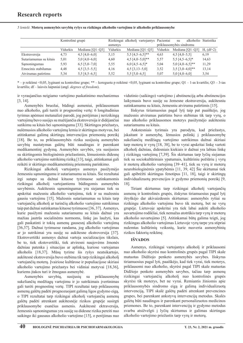*5 lentelė.* **Moterų asmenybės savybių ryšys su rizikingu alkoholio vartojimu ir alkoholio priklausomybe**

|                        | Kontrolinė grupė |                   |          | Rizikingai alkoholi vartojantys Pacientai |                         | su                | alkoholio Statistika |
|------------------------|------------------|-------------------|----------|-------------------------------------------|-------------------------|-------------------|----------------------|
|                        |                  |                   | asmenys  |                                           | priklausomybės sindromu |                   |                      |
|                        | Vidurkis         | Mediana $[Q1-Q3]$ | Vidurkis | Mediana [Q1-Q3]                           | Vidurkis                | Mediana $[O1-O3]$ | $H, (df=2)$          |
| Ekstraversija          | 4.73             | $4,5$ [4,0-6,0]   | 5,15     | $5,5$ [4,5-6,5]**                         | 4,63                    | $4,5$ [4,0-5,5]   | 6,19                 |
| Sutariamumas su kitais | 5,01             | $5,0$ [4,0-6,0]   | 4,60     | $4,5$ [4,0-5,0]**                         | 5,57                    | $5,5$ [4,5-6,5]*  | 14,63                |
| Samoningumas           | 5,93             | $6,5$ [5,0-7,0]   | 5,55     | $6,0$ [4,5-6,5]*                          | 5,04                    | $5,0$ [4,0-6,5]** | 11.29                |
| Emocinis stabilumas    | 4,48             | $4,5$ [3,5–5,5]   | 4,16     | $4,5$ [3,13-5,0]                          | 3,52                    | $3,5$ [3,0–4,0]** | 13,14                |
| Atvirumas patirtims    | 5,34             | $5,5$ [4,5-6,5]   | 5,52     | $5,5$ [5,0-6,5]                           | 5,07                    | $5,0$ [4,0-6,0]   | 3,54                 |

\* – p reikšmė <0,05, lyginant su kontroline grupe; \*\* – koreguota p reikšmė <0,05, lyginant su kontroline grupe; Q1 – 1-as kvartilis; Q3 – 3-ias kvartilis; df – laisvės laipsniai (angl. *degrees of freedom*).

ir vyraujančius neigiamo vartojimo paskatinimo mechanizmus [3, 14].

Asmenybės bruožai, būdingi asmeniui, priklausomam nuo alkoholio, gali turėti ir prognostinę vertę: 6 longitudinius tyrimus apėmusi metanalizė parodė, jog perėjimas į nerizikingą vartojimą buvo susijęs su mažėjančia ekstroversija ir didėjančiai sutikimu su kitais bei sąmoningumu [33]. Skirtingos priežastys, nulėmusios alkoholio vartojimą lemia ir skirtingus motyvus, bei atitinkamai galimą skirtingų intervencijos priemonių poreikį [18]. Be to, su priklausomybės rizika susijusių asmenybės savybių nustatymas galėtų būti naudingas ir parenkant medikamentinį gydymą. Asmenybės savybės, yra susijusios su skirtingomis biologinėmis priežastimis, lėmusiomis didesnę alkoholio vartojimo sutrikimų riziką [13], taigi, atitinkamai gali reikėti ir skirtingo medikamentinių priemonių parinkimo.

Rizikingai alkoholį vartojantys asmenys pasižymėjo žemesniu sąmoningumu ir sutariamumu su kitais. Šie rezultatai irgi sutapo su dažnai kituose tyrimuose sutinkamomis rizikingai alkoholį vartojantiems būdingomis asmenybės savybėmis. Aukštesnis sąmoningumas yra siejamas tiek su apskritai mažesniu alkoholio vartojimu, tiek ir su mažesniu gausiu vartojimu [15]. Mažesnis sutariamumas su kitais tarp vartojančių alkoholį ar turinčių alkoholio vartojimo sutrikimus taip pat dažnai sutinkamas kituose tyrimuose [36, 37]. Asmenys, kurie pasižymi mažesniu sutariamumu su kitais dažnai yra mažiau jautrūs socialinėms normoms, linkę jas laužyti, kas gali paskatinti ir tokių asmenų gausesnį alkoholio vartojimą [36,37]. Dažnai tyrimuose randama, jog alkoholio vartojimas ar jo sutrikimai yra susiję su aukštesne ekstroversija [37]. Ekstrovertiški asmenys dažnai vartoja socializacijos tikslais, be to, tiek ekstovertiški, tiek atviresni naujovėms žmonės dažniau patenka į situacijas ar aplinką, kuriose vartojamas alkoholis [18,37]. Mūsų tyrime šis ryšys neatsikartojo, aukštesnė ekstroversija buvo stebima tik tarp rizikingai alkoholį vartojančių moterų. Įvairiose kultūrose ir populiacijose skiriasi alkoholio vartojimo priežastys bei vidiniai motyvai [18,36], kuriems įtakos turi ir žmogaus asmenybė.

Asmenybės savybių, susijusių su priklausomybę sukeliančių medžiagų vartojimu ir jo sutrikimais įvertinimas gali turėti prognostinę vertę. TIPI rezultatai tarp priklausomų asmenų galėtų padėti prognozuojant galimą ligos gydymo eigą, o TIPI rezultatai tarp rizikingai alkoholį vartojančių asmenų galėtų padėti atrenkant aukštesnėje rizikos grupėje susirgti priklausomybe esančius asmenis. Aukštesnė ektraversija, žemesnis sąmoningumas yra susiję su didesne rizika pereiti nuo saikingo iki gausaus alkoholio vartojimo [15], o perėjimas nuo

vidutinio (saikingo) vartojimo į abstinenciją arba abstinencijos laikymasis buvo susiję su žemesne ekstraversija, aukštesniu sutinkamumu su kitais, žemesniu atvirumu patirtimis [15].

Išskyrus tiriamuosius pagal lytį taip pat paaiškėjo, jog mažesnis atvirumas patirtims buvo stebimas tik tarp vyrų, o nuo alkoholio priklausomos moterys pasižymėjo aukštesniu sutariamumu su kitais.

Ankstesniais tyrimais yra parodyta, kad priežastys, įskaitant ir asmenybę, lėmusios polinkį į priklausomybę sukeliančių medžiagų vartojimo sutrikimus dažnai skiriasi tarp moterų ir vyrų [18, 38], be to vyrai apskritai linkę vartoti alkoholį dažniau, didesniais kiekiais ir dažnai yra labiau linkę į rizikingą vartojimą [7,39]. Šis skirtumas tarp lyčių siejamas tiek su sociokultūriniais ypatumais, kultūriniu požiūriu į vyrų ir moterų alkoholio vartojimą [39–41], tiek su vyrų ir moterų neurobiologinėmis ypatybėmis [11, 39, 42] Šie skirtumai tiek gali apibrėžti skirtingus fenotipus [11, 18], taigi ir skirtingų individualizuotų prevencijos ir gydymo priemonių poreikį [9, 18].

Tiriant skirtumus tarp rizikingai alkoholį vartojančių asmenų ir kontrolinės grupės, išskyrus tiriamuosius pagal lytį išryškėjo dar akivaizdesnis skirtumas: asmenybės ryšiai su rizikingu alkoholio vartojimu buvo tik moterų, bet ne vyrų grupėje. Lietuvoje apskritai yra tiek labai aukšti alkoholio suvartojimo rodikliai, tiek nemažas atotrūkis tarp vyrų ir moterų alkoholio suvartojimo [5]. Atitinkamai būtų galima teigti, jog rizikingas alkoholio vartojimas Lietuvoje vyrų tarpe yra stipriai nulemtas kultūrinių veiksnių, kurie nusveria asmenybinių rizikos faktorių reikšmę.

### **Išvados**

Asmenys, rizikingai vartojantys alkoholį ir priklausomi nuo alkoholio skyrėsi nuo kontrolinės grupės pagal TIPI skale matuotas Didžiojo penketo asmenybės savybes. Išskyrus tiriamuosius pagal lyti, paaiškėjo, kad tiek vyrai, tiek moterys, priklausomi nuo alkoholio, skyrėsi pagal TIPI skale matuotas Didžiojo penketo asmenybės savybes, tačiau tarp asmenų rizikingai vartojančių alkoholį nuo kontrolinės grupės skyrėsi tik moterys, bet ne vyrai. Remiantis žiniomis apie priklausomybės sindromo eigą ir galimą individualizuotą intervenciją, TIPI skalė galėtų padėti atrenkant prevencines grupes, bei parenkant ankstyvų intervencijų metodus. Skalės galėtų būti naudingos ir parenkant personalizuotos medicinos priemones. Be to, parenkant intervencijų ir gydymo metodus svarbu atsižvelgti į lyčių skirtumus ir galimas skirtingas alkoholio vartojimo priežastis tarp vyrų ir moterų.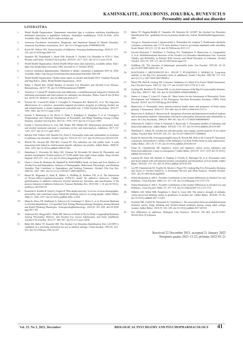#### **literatūra**

- 1. World Health Organization. Tarptautinės statistinės ligų ir sveikatos sutrikimų klasifikacijos dešimtasis pataisytas ir papildytas leidimas, Australijos modifikacija (TLK-10-AM). 2010. Available: http://ebook.vlk.lt/e.vadovas/index.jsp
- 2. American Psychiatric Association. Diagnostic and Statistical Manual of Mental Disorders. American Psychiatric Association; 2013. doi:10.1176/appi.books.9780890425596
- 3. Koob GF, Volkow ND. Neurocircuitry of Addiction. Neuropsychopharmacology. 2010;35: 217– 238. doi:10.1038/npp.2009.110
- 4. Saunders JB, Degenhardt L, Reed GM, Poznyak V. Alcohol Use Disorders in ICD‐11: Past, Present, and Future. Alcohol Clin Exp Res. 2019;43: 1617–1631. doi:10.1111/acer.14128
- 5. World Health Organization. Global Health Observatory data repository, available online: http:// apps.who.int/gho/data/view.main.1800, [accesed on 11 October 2019].
- 6. Lietuvos statistikos departamentas. Alkoholio ir tabako vartojimas ir padariniai 2019 m. 2020. Available: https://osp.stat.gov.lt/informaciniai-pranesimai?articleId=7641100
- 7. World Health Organization. Global status report on alcohol and health 2018. Vladimir Poznyak and Dag Rekve, editor. World Health Organization.; 2018.
- 8. Rehm J, Shield KD. Global Burden of Alcohol Use Disorders and Alcohol Liver Disease. Biomedicines. 2019;7: 99. doi:10.3390/biomedicines7040099
- 9. Vassileva J, Conrod PJ. Impulsivities and addictions: a multidimensional integrative framework informing assessment and interventions for substance use disorders. Philos Trans R Soc B Biol Sci. 2019;374: 20180137. doi:10.1098/rstb.2018.0137
- 10. Newton NC, Conrod PJ, Slade T, Carragher N, Champion KE, Barrett EL, et al. The long-term effectiveness of a selective, personality-targeted prevention program in reducing alcohol use and related harms: a cluster randomized controlled trial. J Child Psychol Psychiatry. 2016;57: 1056–1065. doi:10.1111/jcpp.12558
- 11. Gierski F, Benzerouk F, De Wever E, Duka T, Kaladjian A, Quaglino V, et al. Cloninger's Temperament and Character Dimensions of Personality and Binge Drinking Among College Students. Alcohol Clin Exp Res. 2017;41: 1970–1979. doi:10.1111/acer.13497
- 12. Foulds J, Newton-Howes G, Guy NH, Boden JM, Mulder RT. Dimensional personality traits and alcohol treatment outcome: a systematic review and meta-analysis. Addiction. 2017;112: 1345–1357. doi:10.1111/add.13810
- 13. Belcher AM, Volkow ND, Moeller FG, Ferré S. Personality traits and vulnerability or resilience to substance use disorders. Trends Cogn Sci. 2014;18: 211–217. doi:10.1016/j.tics.2014.01.010
- 14. Woicik PA, Stewart SH, Pihl RO, Conrod PJ. The substance use risk profile scale: A scale measuring traits linked to reinforcement-specific substance use profiles. Addict Behav. 2009;34: 1042–1055. doi:10.1016/j.addbeh.2009.07.001
- 15. Hakulinen C, Elovainio M, Batty GD, Virtanen M, Kivimäki M, Jokela M. Personality and<br>alcohol consumption: Pooled analysis of 72.949 adults from eight cohort studies. Drug Alcohol aption: Pooled analysis of 72,949 adults from eight cohort studies. Drug Alcohol Depend. 2015;151: 110–114. doi:10.1016/j.drugalcdep.2015.03.008
- 16. Glanz J, Grant B, Monteiro M, Tabakoff B. WHO/ISBRA Study on State and Trait Markers of Alcohol Use and Dependence: Analysis of Demographic, Behavioral, Physiologic, and Drinking Variables That Contribute to Dependence and Seeking Treatment. Alcohol Clin Exp Res. 2002;26: 1047–1061. doi:10.1111/j.1530-0277.2002.tb02639.x
- 17. Brand M, Wegmann E, Stark R, Müller A, Wölfling K, Robbins TW, et al. The Interaction of Person-Affect-Cognition-Execution (I-PACE) model for addictive behaviors: Update, generalization to addictive behaviors beyond internet-use disorders, and specification of the process character of addictive behaviors. Neurosci Biobehav Rev. 2019;104: 1–10. doi:10.1016/j. neubiorev. 2019.06.032
- 18. Kuntsche E, Knibbe R, Gmel G, Engels R. Who drinks and why? A review of socio-demographic, personality, and contextual issues behind the drinking motives in young people. Addict Behav 2006;31: 1844–1857. doi:10.1016/j.addbeh.2005.12.028
- 19. Mann K, Roos CR, Hoffmann S, Nakovics H, Leménager T, Heinz A, et al. Precision Medicine in Alcohol Dependence: A Controlled Trial Testing Pharmacotherapy Response Among Reward and Relief Drinking Phenotypes. Neuropsychopharmacology. 2018;43: 891–899. doi:10.1038/ npp.2017.282
- 20. Anderson KG, Briggs KEL, White HR. Motives to Drink or Not to Drink: Longitudinal Relations<br>Among Personality, Motives, and Alcohol Use Acoross Adolescence and Early Adulthood.<br>Alcohol Clin Exp Res. 2012;37: 860–867. d
- 21. Bohn MJ, Babor TF, Kranzler HR. The Alcohol Use Disorders Identification Test ({AUDIT}): validation of a screening instrument for use in medical settings. J Stud Alcohol. 1995;56: 423– 432. doi:10.15288/jsa.1995.56.423
- 22. Babor TF, Higgins-Biddle JC, Saunders JB, Monteiro M. AUDIT: the Alcohol Use Disorders Identification Test : guidelines for use in primary health care, 2nd ed. World Health Organization.; 2001.
- 23. Veryga A, Stanislavovienė J, Ignatavičiūtė L, Štelemėkas M, Liutkutė V. Probleminio alkoholio vartojimo įvertinimas tarp 15-74 metų amžiaus Lietuvos gyventojų naudojant audit metodiką. Sveik Moksl. 2013;23: 22–28. doi:10.5200/sm-hs.2013.113
- 24. Gecaite-Stonciene J, Steibliene V, Fineberg NA, Podlipskyte A, Bunevicius A, Liaugaudaite V, et al. Multidimensional Structure of the Alcohol Use Disorders Identification Test: Factorial vand Reliability in Patients With Anxiety and Mood Disorders in Lithuania. Alcohol Alcohol. 2021;56: 109–115. doi:10.1093/alcalc/agaa118
- 25. Goldberg LR. The structure of phenotypic personality traits. Am Psychol. 1993;48: 26–34. doi:10.1037/0003-066X.48.1.26
- 26. RANTANEN J, METSÄPELTO R-L, FELDT T, PULKKINEN L, KOKKO K. Long-term stability in the Big Five personality traits in adulthood. Scand J Psychol. 2007;48: 511–518. doi:10.1111/j.1467-9450.2007.00609.x
- 27. Muck PM, Hell B, Gosling SD. Construct Validation of a Short Five-Factor Model Instrument. Eur J Psychol Assess. 2007;23: 166–175. doi:10.1027/1015-5759.23.3.166
- 28. Gosling SD, Rentfrow PJ, Swann WB. A very brief measure of the Big-Five personality domains. J Res Pers. 2003;37: 504–528. doi:10.1016/S0092-6566(03)00046-1
- 29. Nunes A, Limpo T, Lima CF, Castro SL. Short Scales for the Assessment of Personality Traits: Development and Validation of the Portuguese Ten-Item Personality Inventory (TIPI). Front Psychol. 2018;9. doi:10.3389/fpsyg.2018.00461
- 30. Bunevicius A. Personality traits, patient-centered health status and prognosis of brain tumor patients. J Neurooncol. 2018;137: 593–600. doi:10.1007/s11060-018-2751-6
- 31. Bunevicius A, Katkute A, Bunevicius R. Symptoms of anxiety and depression in medical students and in humanities students: relationship with big-five personality dimensions and vulnerability to stress. Int J Soc Psychiatry. 2008;54: 494–501. doi:10.1177/0020764008090843
- 32. Zilberman N, Yadid G, Efrati Y, Neumark Y, Rassovsky Y. Personality profiles of substance and behavioral addictions. Addict Behav. 2018;82: 174–181. doi:10.1016/j.addbeh.2018.03.007
- 33. Hakulinen C, Jokela M. Alcohol use and personality trait change: pooled analysis of six cohort studies. Psychol Med. 2019;49: 224–231. doi:10.1017/S0033291718000636
- 34. Krank M, Stewart SH, O\textquotesingleConnor R, Woicik PB, Wall A-M, Conrod PJ. Structural, concurrent, and predictive validity of the Substance Use Risk Profile Scale in early adolescence. Addict Behav. 2011;36: 37–46. doi:10.1016/j.addbeh.2010.08.010
- 35. Grant JE, Chamberlain SR. Impulsive action and impulsive choice across substance and behavioral addictions: Cause or consequence? Addict Behav. 2014;39: 1632–1639. doi:10.1016/j. addbeh.2014.04.022
- 36. Luchetti M, Sutin AR, Delitala A, Stephan Y, Fiorillo E, Marongiu M, et al. Personality traits and facets linked with self-reported alcohol consumption and biomarkers of liver health. Addict Behav. 2018;82: 135–141. doi:10.1016/j.addbeh.2018.02.034
- Lui PP, Chmielewski M, Trujillo M, Morris J, Pigott TD. Linking Big Five Personality Dom and Facets to Alcohol (Mis)Use: A Systematic Review and Meta-Analysis. Alcohol Alcohol. 2021. doi:10.1093/alcalc/agab030
- 38. Nolen-Hoeksema S, Hilt L. Possible Contributors to the Gender Differences in Alcohol Use and Problems. J Gen Psychol. 2006;133: 357–374. doi:10.3200/genp.133.4.357-374
- 39. Nolen-Hoeksema S, Hilt L. Possible Contributors to the Gender Differences in Alcohol Use and Problems. J Gen Psychol. 2006;133: 357–374. doi:10.3200/GENP.133.4.357-374
- 40. DiBello AM, Miller MB, Neighbors C, Reid A, Carey KB. The relative strength of attitudes versus perceived drinking norms as predictors of alcohol use. Addict Behav. 2018;80: 39–46. doi:10.1016/j.addbeh.2017.12.022
- 41. Iwamoto DK, Corbin W, Takamatsu S, Castellanos J. The association between multidimen feminine norms, binge drinking and alcohol-related problems among young adult college women. Addict Behav. 2018;76: 243–249. doi:10.1016/j.addbeh.2017.08.016
- 42. Sex differences in addiction. Dialogues Clin Neurosci. 2016;18: 395–402. doi:10.31887/ DCNS.2016.18.4/jbecker

Received 22 December 2021, accepted 21 January 2022 Straipsnis gautas 2021-12-22, priimtas 2022-01-21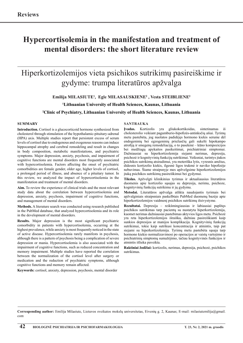### **Hypercortisolemia in the manifestation and treatment of mental disorders: the short literature review**

# Hiperkortizolemijos vieta psichikos sutrikimų pasireiškime ir gydyme: trumpa literatūros apžvalga

**Emilija MILASIUTE1 , Egle MILASAUSKIENE2 , Vesta STEIBLIENE2**

**1 Lithuanian University of Health Sciences, Kaunas, Lithuania**

### **2 Clinic of Psychiatry, Lithuanian University of Health Sciences, Kaunas, Lithuania**

### **Summary**

**Introduction.** Cortisol is a glucocorticoid hormone synthesized from cholesterol through stimulation of the hypothalamic-pituitary-adrenal (HPA) axis. Multiple studies report that persistent excess of serum levels of cortisol due to endogenous and exogenous reasons can induce hippocampal atrophy and cerebral remodeling and result in changes in body composition, metabolic manifestations, and psychiatric symptoms. Major depression, anxiety, psychosis, and impairment of cognitive functions are mental disorders most frequently associated with hypercortisolemia. Factors affecting the onset of psychiatric comorbidities are female gender, older age, higher levels of cortisol, a prolonged period of illness, and absence of a pituitary tumor. In this review, we analyzed the impact of hypercortisolemia in the manifestation and treatment of mental disorders.

**Aim.** To review the experience of clinical trials and the most relevant study data about the correlation between hypercortisolemia and depression, anxiety, psychosis, impairment of cognitive functions, and management of mental disorders.

**Methods.** A literature search was conducted using research published in the PubMed database, that analyzed hypercortisolemia and its role in the development of mental disorders.

**Results.** Major depression is the most significant psychiatric comorbidity in patients with hypercortisolemia, occurring at the highest prevalence, while anxiety is most frequently noticed in the state of active disease. Hypercortisolemia rarely manifests in psychosis, although there is a pattern of psychosis being a complication of severe depression or mania. Hypercortisolemia is also associated with the impairment of cognitive functions, such as reduced concentration and memory impairment. Multiple studies have reported the correlation between the normalization of the cortisol level after surgery or medication and the reduction of psychiatric symptoms, although cognitive functions and memory remain affected.

**Keywords:** cortisol, anxiety, depression, psychosis, mental disorder

#### **SANTRAUKA**

**Įvadas.** Kortizolis yra gliukokortikoidas, sintetinamas iš cholesterolio veikiant pagumburio-hipofizės-antinksčių ašiai. Tyrimų metu pastebėta, jog nuolatos padidėjęs hormono kiekis serume dėl endogeninių bei egzogeninių priežasčių gali sukelti hipokampo atrofiją ir smegenų remodeliaciją, o to pasekmė – kūno kompozicijos bei medžiagų apykaitos pasikeitimai, psichiatriniai simptomai. Dažniausiai su hiperkortizolemija siejami nerimas, depresija, psichozė ir kognityvinių funkcijų sutrikimai. Veiksniai, turintys įtakos psichikos sutrikimų atsiradimui, yra moteriška lytis, vyresnis amžius, didesnis kortizolio kiekis, ilgesnė ligos trukmė ir naviko hipofizėje nebuvimas. Šiame straipsnyje mes apžvelgsime hiperkortizolemijos įtaką psichikos sutrikimų pasireiškimui bei gydymui.

**Tikslas.** Apžvelgti klinikinius tyrimus ir aktualiausius literatūros duomenis apie kortizolio sąsajas su depresija, nerimu, psichoze, kognityvinių funkcijų sutrikimu ir jų gydymu.

**Metodai.** Literatūros apžvalga atlikta naudojantis tyrimais bei apžvalginiais straipsniais paskelbtais PubMed duomenų bazėje apie hiperkortizolemijos vaidmenį psichikos sutrikimų išsivystyme.

**Rezultatai.** Depresija – reikšmingiausias ir labiausiai paplitęs psichikos sutrikimas tarp pacientų su nustatyta hiperkortizolemija, kuomet nerimas dažniausiai pastebimas aktyvios ligos metu. Psichozė yra reta hiperkortizolemijos išraiška, dažniau pasireiškianti kaip sunkios depresijos ar manijos komplikacija. Kognityvinių funkcijų sutrikimai, tokie kaip sutrikusi koncentracija ir atmintis, taip pat siejami su hiperkortizolemija. Tyrimų metu pastebėta sąsaja tarp hormono kiekio normalizavimosi po operacijos ar vaistų vartojimo ir psichiatrinių simptomų sumažėjimo, tačiau kognityvinės funkcijos ir atmintis išlieka paveikta.

**Raktiniai žodžiai:** kortizolis, nerimas, depresija, psichozė, psichikos sutrikimas.

**Corresponding author:** Emilija Milasiute, Lietuvos sveikatos mokslų universitetas, Eivenių g. 2, Kaunas; E-mail: milasiutemilija@gmail. com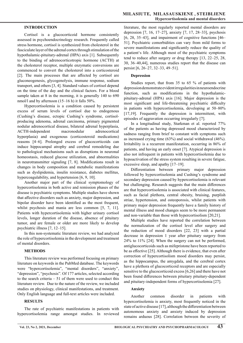### **INTRODUCTION**

Cortisol is a glucocorticoid hormone consistently assessed in psychoendocrinology research. Frequently called stress hormone, cortisol is synthesized from cholesterol in the fasciculate layer of the adrenal cortex through stimulation of the hypothalamic-pituitary-adrenal (HPA) axis [1]. Subsequently to the binding of adrenocorticotropic hormone (ACTH) at the cholesterol receptor, multiple enzymatic conversions are commenced to convert the cholesterol into a corticosteroid [2]. The main processes that are affected by cortisol are gluconeogenesis, glycogenolysis, immune response, sodium transport, and others [3, 4]. Standard values of cortisol depend on the time of the day and the clinical factors. For a blood sample taken at 8 in the morning, it is generally 140 to 690 nmol/l and by afternoon (15–16 h) it falls 50%.

Hypercortisolemia is a condition caused by persistent excess of serum levels of cortisol due to endogenous (Cushing's disease, ectopic Cushing's syndrome, cortisolproducing adenoma, adrenal carcinoma, primary pigmented nodular adrenocortical disease, bilateral adrenal hyperplasia, ACTH-independent macronodular adrenocortical hyperplasia) and exogenous (corticosteroid medications) reasons [4–6]. Prolonged excess of glucocorticoids can induce hippocampal atrophy and cerebral remodeling due to pathological mechanisms such as disruptions in neuronal homeostasis, reduced glucose utilization, and abnormalities in neurotransmitter signaling [7, 8]. Modifications result in changes in body composition and metabolic manifestations such as dyslipidemia, insulin resistance, diabetes mellitus, hypercoagulability, and hypertension [6, 9, 10].

Another major part of the clinical symptomology of hypercortisolemia in both active and remission phases of the disease is psychiatric symptoms. Multiple studies have shown that affective disorders such as anxiety, major depression, and bipolar disorder have been identified as the most frequent, whilst psychosis and mania are less common [5, 7, 11]. Patients with hypercortisolemia with higher urinary cortisol levels, longer duration of the disease, absence of pituitary tumor, and are female or older are more likely to develop psychiatric illness [7, 12–15].

In this non-systematic literature review, we had analyzed the role of hypercortisolemia in the development and treatment of mental disorders.

### **METHODS**

This literature review was performed focusing on primary literature on keywords in the PubMed database. The keywords were "hypercortisolemia", "mental disorders", "anxiety", "depression", "psychosis". Of 177 articles, selected according to the search criteria – 51 of them were used to conduct this literature review. Due to the nature of the review, we included studies on physiology, clinical manifestations, and treatment. Only English language and full-text articles were included.

### **RESULTS**

The rate of psychiatric manifestations in patients with hypercortisolemia range amongst studies. In reviewed

literature, the most regularly reported mental disorders are depression [7, 16, 17–27], anxiety [7, 17, 28–33], psychosis [6, 28, 35–43], and impairment of cognitive functions [46– 51]. Psychiatric comorbidities can vary from mild forms to severe manifestations and significantly reduce the quality of a patient's life. Although most of the psychiatric symptoms tend to reduce after surgery or drug therapy [13, 22–25, 28, 30, 36–40,44], numerous studies report that the disease can persist [6, 26–27, 32–33, 49–51].

### **Depression**

Studies report, that from 35 to 65 % of patients with depression demonstrate evident irregularities in neuroendocrine function, such as modifications in the hypothalamicpituitary-adrenal (HPA) axis [16]. Major depression is the most significant and life-threatening psychiatric difficulty in patients with hypercortisolemia, developing at 50–80% [17,19]. Frequently the depression is intermittent, with episodes of aggravation occurring irregularly [7].

In a longitudinal study, Starkman et al. reported 77% of the patients as having depressed mood characterized by sadness ranging from brief to constant with symptoms such as increased crying time (63%) and social withdrawal (46%). Irritability is a recurrent manifestation, occurring in 86% of patients, and having an early onset [7]. Atypical depression is also not infrequent in patients with hypercortisolemia due to hypoactivation of the stress system resulting in severe fatigue, excessive sleep, and apathy [17–19].

Differentiation between primary major depression followed by hypercortisolemia and Cushing's syndrome and secondary depression caused by hypercortisolemia is relevant but challenging. Research suggests that the main differences are that hypercortisolemia is associated with clinical features, such as facial plethora, central obesity, bruising, purplish striae, hypertension, and osteoporosis, whilst patients with primary major depression frequently have a family history of mental illness and mood changes seem to be more permanent and non-variable than those with hypercortisolism [20,21].

Multiple studies have reported the correlation between the normalization of the cortisol level after surgery and the reduction of mood disorders [22, 23] with a partial decrease in depression 1 year after pituitary surgery from 24% to 11% [24]. When the surgery can not be performed, antiglucocorticoids such as mifepristone have been reported to be as effective [25]. Although there is evidence, that even after correction of hypercortisolism mood disorders may persist, as the hippocampus, the amygdala, and the cerebral cortex have a plethora of glucocorticoid receptors and are especially sensitive to the glucocorticoid excess [6,26] and there have not been found differences between pituitary pituitary-dependent and pituitary-independent forms of hypercortisolemia [27].

### **Anxiety**

Another common disorder in patients with hypercortisolemia is anxiety, most frequently noticed in the state of active disease [17], although the differentiation between autonomous anxiety and anxiety induced by depression remains arduous [28]. Correlation between the severity of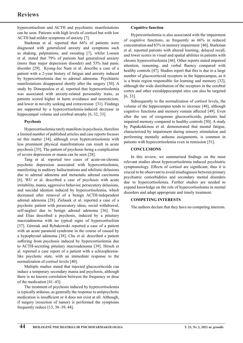hypercortisolism and ACTH and psychiatric manifestations can be seen. Patients with high levels of cortisol but with low ACTH had milder symptoms of anxiety [7].

Starkman et al. reported that 66% of patients were diagnosed with generalized anxiety and symptoms such as shaking, palpitations, and sweating [7], whilst Loosen et al. stated that 79% of patients had generalized anxiety (more than major depression disorder) and 53% had panic disorder [29]. Kyung-Jee Nam et al. describe a case of a patient with a 2-year history of fatigue and anxiety induced by hypercortisolemia due to adrenal adenoma. Psychiatric manifestations disappeared shortly after the surgery [30]. A study by Dimopoulou et al. reported that hypercortisolemia was associated with anxiety-related personality traits, as patients scored higher in harm avoidance and neuroticism, and lower in novelty seeking and extraversion [31]. Findings are supported by a hypercortisolemia-induced decrease in hippocampal volume and cerebral atrophy [6, 32, 33].

### **Psychosis**

Hypercortisolemia rarely manifests in psychosis, therefore a limited number of published articles and case reports focuses on this matter [34], although even hypercortisolemia with less prominent physical manifestations can result in acute psychosis [35]. The pattern of psychosis being a complication of severe depression or mania can be seen [28].

Tang et al. reported two cases of acute-on-chronic psychotic depression associated with hypercortisolemia, manifesting in auditory hallucinations and nihilistic delusions due to adrenal adenoma and metastatic adrenal carcinoma [6]. WU et al. described a case of psychosis with acute irritability, mania, aggressive behavior, persecutory delusions, and suicidal ideation induced by hypercortisolemia, which decreased after removal of a benign ACTH-independent adrenal adenoma [28]. Zielasek et al. reported a case of a psychotic patient with persecutory ideas, social withdrawal, self-neglect due to benign adrenal adenoma [36]. Tran and Elias described a psychosis, induced by a pituitary macroadenoma with no typical signs of hypercortisolism [37]. Górniak and Rybakowski reported a case of a patient with an acute paranoid syndrome in the course of caused by a hypophysial adenoma [38]. Chu et al. described a patient suffering from psychosis induced by hypercortisolemia due to ACTH-secreting pituitary macroadenoma [39]. Hirsch et al. reported a case report of a patient with a schizophrenialike psychotic state, with an immediate response to the normalization of cortisol levels [40].

Multiple studies stated that injected glucocorticoids can induce a temporary secondary mania and psychosis, although there is no known correlation between the frequency or dose of the medication [41–43].

The treatment of psychosis induced by hypercortisolemia is typically arduous, as generally the response to antipsychotic medication is insufficient or it does not exist at all. Although, if surgery (resection of tumor) is performed the symptoms frequently reduce [13, 36–39, 44].

### **Cognitive function**

Hypercortisolemia is also associated with the impairment of cognitive functions, as frequently as 66% in reduced concentration and 83% in memory impairment [46]. Starkman et al. reported patients with altered learning, delayed recall, and lower scores in visual and spatial abilities in patients with chronic hypercortisolemia [46]. Other reports stated impaired attention, reasoning, and verbal fluency compared with healthy controls [47]. Studies report that this is due to a large number of glucocorticoid receptors in the hippocampus, as it is a brain region responsible for learning and memory [32], although the wide distribution of the receptors in the cerebral cortex and other extrahippocampal sites can also be targeted [6, 33].

Subsequently to the normalization of cortisol levels, the volume of the hippocampus tends to increase [48], although cognitive functions and memory remain affected [49]. Even after the use of exogenous glucocorticoids, patients had impaired memory compared to healthy controls [50]. A study by Papakokkinou et al. demonstrated that mental fatigue, characterized by impairment during sensory stimulation and performing mentally arduous assignments, is common in patients with hypercortisolemia even in remission [51].

### **CONCLUSIONS**

In this review, we summarised findings on the most relevant studies about hypercortisolemia induced psychiatric symptomology. Effects of cortisol are significant, thus it is crucial to be observant to avoid misdiagnosis between primary psychiatric comorbidities and secondary mental disorders due to hypercortisolemia. Further studies are needed to expand knowledge on the role of hypercortisolemia in mental disorders and adapt appropriate and timely treatment.

### **COMPETING INTERESTS**

The authors declare that they have no competing interests.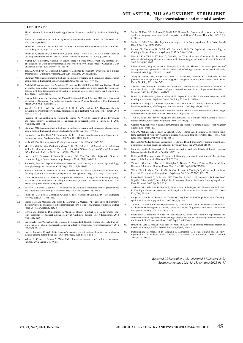#### **References**

- 1. Thau L, Gandhi J, Sharma S. Physiology, Cortisol. Treasure Island (FL): StatPearls Publishing; 2021.
- 2. Fareau GG, Vassilopoulou-Sellin R. Hypercortisolemia and infection. Infect Dis Clin North Am. 2007 Sep;21(3):639-57.
- 3. Miller BS, Auchus RJ. Evaluation and Treatment of Patients With Hypercortisolism: A Review. JAMA Surg.2020;155(12):1152–1159.
- 4. Pivonello R, Isidori AM, De Martino MC, Newell-Price J, Biller BM, Colao A. Complications of Cushing's syndrome: state of the art. Lancet Diabetes Endocrinol. 2016 Iul;4(7):611-29.
- 5. Nieman LK, Biller BM, Findling JW, Newell-Price J, Savage MO, Stewart PM, Montori VM. The diagnosis of Cushing's syndrome: an Endocrine Society Clinical Practice Guideline. J Clin Endocrinol Metab. 2008 May;93(5):1526-40.
- 6. Tang A, O'Sullivan AJ, Diamond T, Gerard A, Campbell P. Psychiatric symptoms as a clinical presentation of Cushing's syndrome. Ann Gen Psychiatry. 2013;12(1):23.
- 7. Starkman MN. Neuropsychiatric findings in Cushing syndrome and exogenous glucocorticoid administration. Endocrinol Metab Clin North Am. 2013 Sep;42(3):477-88.
- 8. Andela CD, van der Werff SJ, Pannekoek JN, van den Berg SM, Meijer OC, van Buchem MA et al. Smaller grey matter volumes in the anterior cingulate cortex and greater cerebellar volu patients with long-term remission of Cushing's disease: a case-control study. Eur J Endocrinol. 2013 Oct 21;169(6):811-9.
- 9. Nieman LK, Biller BM, Findling JW, Murad MH, Newell-Price J, Savage MO, et al.; Treatment of Cushing's Syndrome: An Endocrine Society Clinical Practice Guideline. J Clin Endocrinol Metab. 2015 Aug;100(8):2807-31.
- 10. Van der Pas R, Leebeek FW, Hofland LJ, de Herder WW, Feelders RA. Hypercoagulability in Cushing's syndrome: prevalence, pathogenesis and treatment. Clin Endocrinol (Oxf). 2013 Apr;78(4):481-8.
- 11. Piasecka M, Papakokkinou E, Valassi E, Santos A, Webb S, Vries F et al. Psychiatric and neurocognitive consequences of endogenous hypercortisolism. J Intern Med. 2020 Aug;288(2):168-182.
- 12. Starkman MN. Neuropsychiatric findings in Cushing syndrome and exogenous glucocorticoid administration. Endocrinol Metab Clin North Am. 2013 Sep;42(3):477-88.
- 13. Sonino N, Fava GA, Raffi AR, Boscaro M, Fallo F. Clinical correlates of major depression in Cushing's disease. Psychopathology. 1998 Nov-Dec;31(6):302-6.
- 14. Kelly WF. Psychiatric aspects of Cushing's syndrome. QJM. 1996 Jul;89(7):543-51.
- 15. Morelli V, Ghielmetti A, Caldiroli A, Grassi S, Siri FM, Caletti E et al. Mental Health in Patients With Adrenal Incidentalomas: Is There a Relation With Different Degrees of Cortisol Secretion? J Clin Endocrinol Metab. 2021 Jan 1;106(1):e130-e139.
- 16. Lucassen PJ, Pruessner J, Sousa N, Almeida OF, Van Dam AM, Rajkowska G et al. Neuropathology of stress. Acta neuropathologica, 2014;127(1), 109–135.
- 17. Sonino N, Fava GA. Psychiatric disorders associated with Cushing's syndrome. Epidemiology, pathophysiology and treatment. CNS Drugs. 2001;15(5):361-73.
- 18. Santos A, Resmini E, Pascual JC, Crespo I, Webb SM. Psychiatric Symptoms in Patients with Cushing's Syndrome: Prevalence, Diagnosis and Management. Drugs. 2017 May;77(8):829-842.
- 19. Dorn LD, Burgess ES, Dubbert B, Simpson SE, Friedman T, Kling M et al. Psychopathology in patients with endogenous Cushing's syndrome: 'atypical' or melancholic features. Clin Endocrinol (Oxf). 1995 Oct;43(4):433-42.
- 20. Boscaro M, Barzon L, Sonino N. The diagnosis of Cushing's syndrome: atypical presentations and laboratory shortcomings. Arch Intern Med. 2000 Nov 13;160(20):3045-53.
- 21. Pivonello R, De Leo M, Cozzolino A, Colao A. The Treatment of Cushing's Disease. Endocrine reviews, 2015;36(4), 385–486.
- 22. Espinosa-de-Los-Monteros AL, Sosa E, Martinez N, Mercado M. Persistence of Cushing's disease symptoms and comorbidities after surgical cure: a long-term, integral evaluation. Endocr Pract. 2013 Mar-Apr;19(2):252-8.
- 23. Oßwald A, Plomer E, Dimopoulou C, Milian M, Blaser R, Ritzel K et al. Favorable longterm outcomes of bilateral adrenalectomy in Cushing's disease. Eur J Endocrinol. 2014 Aug;171(2):209-15.
- 24. Langenecker SA, Weisenbach SL, Giordani B, Briceño EM, Guidotti Breting LM, Schallmo MP et al. Impact of chronic hypercortisolemia on affective processing. Neuropharmacology. 2012 Jan;62(1):217-25.
- 25. Lau D, Rutledge C, Aghi MK. Cushing's disease: current medical therapies and molecular insights guiding future therapies. Neurosurg Focus. 2015 Feb;38(2): E11.
- 26. Valassi E, Crespo I, Santos A, Webb SM. Clinical consequences of Cushing's syndrome. Pituitary. 2012 Sep;15(3):319-29.
- 27. Sonino N, Fava GA, Belluardo P, Girelli ME, Boscaro M. Course of depression in Cushing's syndrome: response to treatment and comparison with Graves' disease. Horm Res. 1993;39(5-6):202-6.
- 28. Sonino N, Fallo F, Fava GA. Psychosomatic aspects of Cushing's syndrome. Rev Endocr Metab Disord. 2010 Jun;11(2):95-104.
- 29. Loosen PT, Chambliss B, DeBold CR, Shelton R, Orth DN. Psychiatric phenomenology in Cushing's disease. Pharmacopsychiatry. 1992 Jul;25(4):192-8.
- 30. Nam KJ, Kim YJ, Lee SY, Lee JG, Cho YH, Lee YH et al. A case of incidentally discovered nical Cushing syndrome in a patient with chronic fatigue and anxiety. Korean J Fam Med. 2013 Jul;34(4):289-92.
- 31. Dimopoulou C, Ising M, Pfister H, Schopohl J, Stalla GK, Sievers C. Increased prevalence of anxiety-associated personality traits in patients with Cushing's disease: a cross-sectional study. Neuroendocrinology. 2013;97(2):139-45.
- 32. Wang Q, Verweij EW, Krugers HJ, Joels M, Swaab DF, Lucassen PJ. Distribution of the glucocorticoid receptor in the human amygdala; changes in mood disorder patients. Brain Struct Funct. 2014 Sep;219(5):1615-26.
- 33. Sánchez MM, Young LJ, Plotsky PM, Insel TR. Distribution of corticosteroid receptors in the rhesus brain: relative absence of glucocorticoid receptors in the hippocampal formation. J Neurosci. 2000 Jun 15;20(12):4657-68.
- 34. Bratek A, Koźmin-Burzyńska A, Górniak E, Krysta K. Psychiatric disorders associated with Cushing's syndrome. Psychiatr Danub. 2015 Sep;27 Suppl 1:S339-43.
- 35. Feelders RA, Pulgar SJ, Kempel A, Pereira AM. The burden of Cushing's disease: clinical and health-related quality of life aspects. Eur J Endocrinol. 2012 Sep;167(3):311-26.
- 36. Zielasek J, Bender G, Schlesinger S, Friedl P, Kenn W, Allolio B et al. Woman who gained weight and became schizophrenic. Lancet. 2002 Nov 2;360(9343):1392.
- 37. Tran M, Elias AN. Severe myopathy and psychosis in a patient with Cushing's disease macroadenoma. Clin Neurol Neurosurg. 2003 Dec;106(1):1-4.
- 38. Górniak M, Rybakowski J. Paranoid syndrome in the course of Cushing's disease. Post Psychiatr Neurol 2005; 14:18–20.
- 39. Chu JW, Matthias DF, Belanoff J, Schatzberg A, Hoffman AR, Feldman D. Successful longterm treatment of refractory Cushing's disease with high-dose mifepristone (RU 486). J Clin Endocrinol Metab. 2001 Aug;86(8):3568-73.
- 40. Hirsch D, Orr G, Kantarovich V, Hermesh H, Stern E, Blum I. Cushing's syndrome presenting as a schizophrenia-like psychotic state. Isr J Psychiatry Relat Sci. 2000;37(1):46-50.
- 41. Stout A, Friedly J, Standaert CJ. Systemic Absorption and Side Effects of Locally Injected Glucocorticoids. PM R. 2019 Apr;11(4):409-419.
- 42. Robinson D, Harrison-Hansley E, Spencer R. Steroid psychosis after an intra-articular injection. Annals of the Rheumatic Diseases 2000;59:926.
- 43. Torales J, González I, Barrios I, Ventriglio A, Bhugra D. Manic Episodes Due to Medical Illnesses: A Literature Review. J Nerv Ment Dis. 2018 Sep;206(9):733-738.
- 44. Wu Y, Chen J, Ma Y, Chen Z. (2016). Case Report of Cushing's Syndrome with an Acute Psychotic Presentation. Shanghai Arch Psychiatry. 2016 Jun 25;28(3):169-172.
- 45. Pivonello R, Simeoli C, De Martino MC, Cozzolino A, De Leo M, Iacuaniello D, Pivonello C, Negri M, Pellecchia MT, Iasevoli F, Colao A. Neuropsychiatric disorders in Cushing's syndrome. Front Neurosci. 2015 Apr 20;9:129.
- 46. Starkman MN, Giordani B, Berent S, Schork MA, Schteingart DE. Elevated cortisol levels in Cushing's disease are associated with cognitive decrements. Psychosom Med. 2001 Nov-Dec;63(6):985-93.
- 47. Forget H, Lacroix A, Somma M, Cohen H. Cognitive decline in patients with Cushing's syndrome. J Int Neuropsychol Soc. 2000 Jan;6(1):20-9.
- 48. Toffanin T, Nifosì F, Follador H, Passamani A, Zonta F, Ferri G et al. Volumetric MRI analysis of hippocampal subregions in Cushing's disease: A model for glucocorticoid neural modulation. European Psychiatry. 2011 Apr 26(1), 64-67.
- 49. Ragnarsson O, Berglund P, Eder DN, Johannsson G. Long-term cognitive impairments and attentional deficits in patients with Cushing's disease and cortisol-producing adrenal adenoma in remission. J Clin Endocrinol Metab. 2012 Sep;97(9):E1640-8.
- 50. Brown ES, Vera E, Frol AB, Woolston DJ, Johnson B. Effects of chronic prednisone therapy on mood and memory. J Affect Disord. 2007 Apr;99(1-3):279-83.
- 51. Papakokkinou E, Johansson B, Berglund P, Ragnarsson O. Mental Fatigue and Executive Dysfunction in Patients with Cushing's Syndrome in Remission. Behav Neurol. 2015;2015:173653.

*Received 23 December 2021, accepted 17 January 2022 Straipsnis gautas 2021-12-23, priimtas 2022-01-17*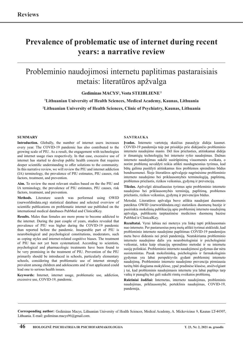# **Prevalence of problematic use of internet during recent years: a narrative review**

### Probleminio naudojimosi internetu paplitimas pastaraisiais metais: literatūros apžvalga

**Gediminas MACYS1 , Vesta SteiblienE 2**

**1 Lithuanian University of Health Sciences, Medical Academy, Kaunas, Lithuania** 

**2 Lithuanian University of Health Sciences, Clinic of Psychiatry, Kaunas, Lithuania** 

### **Summary**

**Introduction.** Globally, the number of internet users increases every year. The COVID-19 pandemic has also contributed to the growing scale of PIU. As a result, the engagement with technologies and internet usage rises respectively. In that case, excessive use of internet has started to develop public health concern that requires deeper scientific understanding to offer solutions to the community. In this narrative review, we will review the PIU and internet addiction (IA) terminology, the prevalence of PIU estimates, PIU causes, risk factors, treatment, and prevention.

**Aim.** To review the most relevant studies based on the the PIU and IA terminology, the prevalence of PIU estimates, PIU causes, risk factors, treatment, and prevention.

**Methods.** Literature search was performed using OWID (ourworldindata.org) statistical database and selected overview of scientific publications on problematic internet use published on the international medical databases PubMed and ClinicalKey.

**Results.** Males than females are more prone to become addicted to the internet. During the past couple of years, studies revealed that prevalence of PIU was higher during the COVID-19 pandemic than reported before the pandemic. Inseparable part of PIU is neurobiological and psychological constitutions, moderators, such as coping styles and internet-related cognitive biases. The treatment of PIU has not yet been systematized. According to scientists, psychological and pharmacologic treatments have been found to be very promising in the treatment of PIU. Prevention of the PIU primarily should be introduced in schools, particularly elementary schools, considering that problematic use of internet strongly prevalent among children and adolescents and if not applicated could lead one to serious health issues.

**Keywords:** Internet, internet usage, problematic use, addiction, excessive use, COVID-19, pandemic.

### **SANTRAUKA**

**Įvadas.** Interneto vartotojų skaičius pasaulyje didėja kasmet. COVID-19 pandemija taip pat prisidėjo prie didėjančio probleminio interneto naudojimo masto. Dėl šios priežasties, atitinkamai didėja ir išmaniųjų technologijų bei interneto ryšio naudojimas. Dažnas interneto naudojimas sukėlė susirūpinimą visuomenės sveikata, o norint problemą suvaldyti reikia atlikti nuodugnesnius tyrimus, kad būtų galima pasiūlyti atitinkamus šios problemos sprendimo būdus bendruomenei. Šioje literatūros apžvalgoje nagrinėsime probleminio interneto naudojimo bei priklausomybės terminologiją, paplitimą, problemos priežastis, rizikos veiksnius, gydymą ir prevenciją.

**Tikslas.** Apžvelgti aktualiausius tyrimus apie probleminio interneto naudojimo bei priklausomybės terminiją, paplitimą, problemos priežastis, rizikos veiksnius, gydymą ir prevencijos būdus.

Metodai. Literatūros apžvalga buvo atlikta naudojant duomenis pateiktus OWID (ourworldindata.org) statistikos duomenų bazėje ir pasirinkta mokslinių publikacijų apie probleminį interneto naudojimą apžvalga, publikuota tarptautinėse medicinos duomenų bazėse PubMed ir ClinicalKey.

**Rezultatai.** Vyrai labiau nei moterys yra linkę tapti priklausomais nuo interneto. Per pastaruosius porą metų atlikti tyrimai atskleidė, kad probleminio interneto naudojimo paplitimas COVID-19 pandemijos metu buvo didesnis nei prieš pandemiją. Neatskiriama probleminio interneto naudojimo dalis yra neurobiologiniai ir psichologiniai veiksniai, tokie kaip situacijų sprendimo metodai ir su internetu susiję polinkiai. Probleminio interneto naudojimosi gydymas dar nėra susistemintas. Pasak mokslininkų, psichologinis ir farmakologinis gydymas yra labai perspektyvūs gydant probleminį interneto naudojimą. Probleminio interneto naudojimo prevencija pirmiausia turėtų būti diegiama mokyklose, ypač pradinėse klasėse, atsižvelgiant į tai, kad probleminis naudojimasis internetu yra labai paplitęs tarp vaikų ir paauglių bei gali sukelti rimtų sveikatos problemų.

**Raktiniai žodžiai:** Internetas, interneto naudojimas, probleminis naudojimas, priklausomybė, perteklinis naudojimas, COVID-19, pandemija.

**Corresponding author:** Gediminas Macys, Lithuanian University of Health Sciences, Medical Academy, A. Mickeviciaus 9, Kaunas LT-44307, Lithuania. E-mail: gediminas.macys96@gmail.com.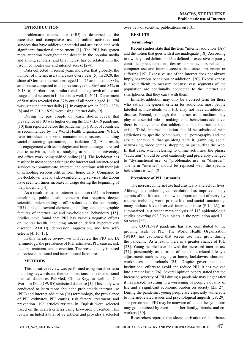### **INTRODUCTION**

Problematic internet use (PIU) is described as the excessive and compulsive use of online activities and services that have addictive potential and are associated with significant functional impairment [1]. The PIU has gotten more attention throughout the decade in the popular media and among scholars, and this interest has correlated with the rise in computer use and internet access [2-4].

Data collected in recent years indicates that globally, the number of internet users increases every year [5]. In 2020, the share of German internet users aged  $14 - 75$  amounted to 88%, an increase compared to the previous year at 86% and 84% in 2018 [6]. Furthermore, similar trends in the growth of internet usage could be seen in Lithuania as well. In 2021, Department of Statistics revealed that 87% out of all people aged 16 – 74 was using the internet daily [7]. In comparison, in 2020 – 83% [8] and in  $2019 - 82\%$  were using internet daily [9].

During the past couple of years, studies reveal that prevalence of PIU was higher during the COVID-19 pandemic [10] than reported before the pandemic [11]. A lot of countries, as recommended by the World Health Organization (WHO), have introduced the virus containment measures, including social distancing, quarantine, and isolation [12]. As a result, the engagement with technologies and internet usage increased due to activities, such as, studying at school or university, and office work being shifted online [13]. The lockdown has resulted in most people taking to the internet and internet-based services to communicate, interact, and continue with their job or schooling responsibilities from home daily. Compared to pre-lockdown levels, video-conferencing services like Zoom have seen ten times increase in usage during the beginning of the pandemic [14].

As a result, so called internet addiction (IA) has become developing public health concern that requires deeper scientific understanding to offer solutions to the community. PIU is linked to several elements, including sociodemographic features of internet use and psychological behaviours [15]. Studies have found that PIU has various negative effects on mental health, including attention deficit hyperactivity disorder (ADHD), depression, aggression, and low selfesteem [4, 16, 17].

In this narrative review, we will review the PIU and IA terminology, the prevalence of PIU estimates, PIU causes, risk factors, treatment, and prevention. The present study is based on reviewed national and international literature.

### **METHODS**

This narrative review was performed using search criteria including keywords and their combinations in the international medical databases PubMed, ClinicalKey, as well as Our World In Data (OWID) statistical database [5]. This study was conducted to learn more about the problematic internet use (PIU) and internet addiction (IA) terminology, the prevalence of PIU estimates, PIU causes, risk factors, treatment, and prevention. 198 articles written in English were selected based on the search criteria using keywords presented. This review included a total of 72 articles and provides a selected

overview of scientific publications on PIU.

### **RESULTS**

### **Terminology**

Recent studies state that the term "internet addiction (IA)" and the notion that goes with it are inadequate [18]. According to a widely used definition, IA is defined as excessive or poorly controlled preoccupations, desires, or behaviours related to computer use and internet access that cause impairment or suffering [19]. Excessive use of the internet does not always imply hazardous behaviour or addiction. [20]. Excessiveness is also difficult to measure because vast segments of the population are continually connected to the internet via smartphones that they carry with them.

Initially, addiction may only be a correct term for those who satisfy the general criteria for addiction; most people labelled as individuals with PIU may not have an addiction disease. Second, although the internet as a medium may play an essential role in making some behaviours addictive, there is no evidence that addiction to the internet as such exists. Third, internet addiction should be substituted with addictions to specific behaviours, i.e., pornography and the sexual behaviours that go along with it, gambling, social networking, video games, shopping, or just surfing the Web. In that case, when referring to online activities, the phrase "addiction" should be used cautiously and preferably changed to "dysfunctional use" or "problematic use" or "disorder". The term "internet" should be replaced with the specific behaviours as well [21].

### **Prevalence of PIU estimates**

The increased internet use had drastically altered our lives. Although the technological revolution has improved many aspects of our life and it is now an important part of everyday routine, including work, private life, and social functioning, many authors have observed internet misuse (PIU, IA), as summarized in a recent meta-analysis of 113 epidemiologic studies covering 693,306 subjects in the population aged 7 – 60 years [22].

The COVID-19 pandemic has also contributed to the growing scale of PIU. The World Health Organization (WHO) has cautioned that screen use may grow during the pandemic. As a result, there is a greater chance of PIU [23]. Young people have showed the increased internet use [24], presumably as a result of pandemic-related lifestyle adjustments such as staying at home, lockdowns, shuttered workplaces, and schools [25]. Despite government and institutional efforts to avoid and reduce PIU, it has evolved into a major issue [26]. Several opinion papers stated that the increased severity of PIU during a pandemic may linger after it has passed, resulting in a worsening of people's quality of life and a significant economic burden on society [25, 27]. During the pandemic, young people are especially vulnerable to internet-related issues and psychological anguish [28, 29]. The person with PIU may be unaware of it, and the symptoms may go unnoticed by even his or her family, friends, and coworkers [30].

Researchers reported that sleep deprivation or disturbance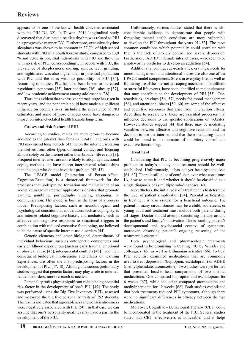appears to be one of the known health concerns associated with the PIU [31, 32]. In Taiwan, 2016 longitudinal study discovered that disrupted circadian rhythm was related to PIU in a progressive manner [33]. Furthermore, excessive daytime sleepiness was shown to be common in 37,7% of high school students with PIU in a South Korean study, compared to 13,9 % and 7,4% in potential individuals with PIU and the ones with no risk of PIU, correspondingly. In people with PIU, the prevalence of sleeplessness, snoring, apnoea, teeth grinding, and nightmares was also higher than in potential population with PIU and the ones with no possibility of PIU [34]. According to studies, PIU has also been linked to increased psychiatric symptoms [35], later bedtimes [36], obesity [37], and low academic achievement among adolescents [38].

Thus, it is evident that excessive internet usage has risen in recent years, and the pandemic could have made a significant influence on people's lives, including the prevalence of PIU estimates, and some of those changes could have dangerous impact on internet-related health hazards long-term.

### **Causes and risk factors of PIU**

According to studies, males are more prone to become addicted to the internet than females [39-41]. The ones with PIU may spend long periods of time on the internet, isolating themselves from other types of social contact and focusing almost solely on the internet rather than broader life events [3]. Frequent internet users are more likely to adopt dysfunctional coping methods and have poorer interpersonal relationships than the ones who do not have that problem [42, 43].

The I-PACE model (Interaction of Person-Affect-Cognition-Execution) is a theoretical framework for the processes that underpin the formation and maintenance of an addictive usage of internet applications or sites that promote gaming, gambling, pornography viewing, shopping, or communication. The model is built in the form of a process model. Predisposing factors, such as neurobiological and psychological constitutions, moderators, such as coping styles and internet-related cognitive biases, and mediators, such as affective and cognitive responses to situational triggers in combination with reduced executive functioning, are believed to be the cause of specific internet-use disorders [44].

Genetic elements and other biological determinants of individual behaviour, such as ontogenetic components and early childhood experiences (such as early trauma, emotional or physical abuse [45], inter-parental conflicts [46]), and their consequent biological implications and effects on learning experiences, are often the first predisposing factors in the development of PIU [47, 48]. Although numerous preliminary studies suggest that genetic factors may play a role in internetrelated disorders, more research is needed.

Personality traits plays a significant role in being potential risk factor in the development of one's PIU [49]. The study was performed using the Big Five Inventory (BFI), assessed and measured the big five personality traits of 752 students. The results indicated that agreeableness and conscientiousness were negatively associated with PIU [50]. In that case we can assume that one's personality qualities may have a part in the development of the PIU.

Unfortunately, various studies stated that there is also considerable evidence to demonstrate that people with foregoing mental health conditions are more vulnerable to develop the PIU throughout the years [51-53]. The most common conditions which potentially could correlate with PIU is the lack of anxiety control and severe depression. Furthermore, ADHD in female internet users, were seen to be a noteworthy predictor to develop an addiction [54].

Additionally, coping, cue-reactivities, cravings, needs for mood management, and attentional biases are also one of the I-PACE model components. Stress in everyday life, as well as following use of the internet as a coping mechanism for difficult or stressful life events, have been identified as major elements that may contribute to the development of PIU [55]. Cuereactivities, cravings [56, 57], needs for mood management [58], and attentional biases [59, 60] are some of the affective and cognitive responses that arise from interaction effects. According to researchers, these are essential processes that influence decisions to use specific applications or websites. However, studies suggest [44] that there may be mediating variables between affective and cognitive reactions and the decision to use the internet, and that these mediating factors could be found in the domains of inhibitory control and executive functioning.

### **Treatment**

Considering that PIU is becoming progressively major problem in today's society, the treatment should be wellestablished. Unfortunately, it has not yet been systematized [61, 62]. There is still a lot of confusion over what constitutes IA, how to name it, and whether it should be classified as a single diagnosis or as multiple sub-diagnoses [63].

Nevertheless, the initial goal of a treatment is to determine the level of patient's motivation [64]. Parental participation in treatment is also crucial for a beneficial outcome. The patient in many circumstances may be a child, adolescent, or young adult and treatment must include both parents during all stages. Doctor should attempt structuring therapy around the patient's and family's motivation. Understanding patient's developmental and psychosocial context of symptoms, moreover, observing patient's ongoing reasoning of the treatment is essential.

Both psychological and pharmacologic treatments were found to be promising in treating PIU by Winkler and colleagues [65] as well as Lithuanian scientist [66]. To treat PIU, scientist examined medications that are commonly used to treat depression (bupropion, escitalopram) or ADHD (methylphenidate, atomoxetine). Two studies were performed that presented head-to-head comparisons of two distinct medications. One compared bupropion and escitalopram for 6 weeks [67], while the other compared atomoxetine and methylphenidate for 12 weeks [68]. Both studies established that both treatments reduced PIU symptoms, although there were no significant differences in efficacy between the two medications.

Moreover, Cognitive – Behavioural Therapy (CBT) could be incorporated in the treatment of the PIU. Several studies states that CBT effectiveness is noticeable, and it helps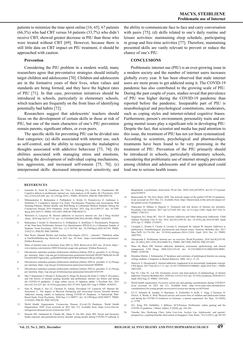patients to minimize the time spent online [16, 65]. 67 patients (66,3%) who had CBT versus 34 patients (33,7%) who didn't receive CBT, showed greater decrease in PIU than those who were treated without CBT [69]. However, because there is still little data on CBT impact on PIU treatment, it should be approached with caution.

#### **Prevention**

Considering the PIU problem in a modern world, many researchers agree that preventative strategies should initially target children and adolescents [70]. Children and adolescents are in the formative years of their lives, when values and standards are being formed, and they have the highest rates of PIU [71]. In that case, prevention initiatives should be introduced in schools, particularly in elementary schools, which teachers are frequently on the front lines of identifying potentially bad habits [72].

Researchers suggest that adolescents' teachers should focus on the development of certain skills in those at risk of PIU, but one of the main characters of one's PIU prevention remain parents, significant others, or even peers.

The specific skills for preventing PIU can be divided into four categories: (a) skills associated with internet use, such as self-control, and the ability to recognize the maladaptive thoughts associated with addictive behaviour [73, 74]; (b) abilities associated with managing stress and emotions, including the development of individual coping mechanisms, less aggression, and increased self-esteem [75, 76]; (c) interpersonal skills: decreased interpersonal sensitivity, and the ability to communicate face to face and carry conversation with peers [75]; (d) skills related to one's daily routine and leisure activities: maintaining sleep schedule, participating in group and free-time activities [77]. Therefore, maintaining presented skills are vastly relevant to prevent or reduce the chance of one's PIU.

### **CONCLUSIONS**

Problematic internet use (PIU) is an ever-growing issue in a modern society and the number of internet users increases globally every year. It has been observed that male internet users are more prone to get addicted using it. The COVID-19 pandemic has also contributed to the growing scale of PIU. During the past couple of years, studies reveal that prevalence of PIU was higher during the COVID-19 pandemic than reported before the pandemic. Inseparable part of PIU is neurobiological and psychological constitutions, moderators, such as coping styles and internet-related cognitive biases. Furthermore, person's environment, personality traits and ongoing mental issues play a significant role in developing PIU. Despite the fact, that scientist and media has paid attention to this issue, the treatment of PIU has not yet been systematized. According to scientists, psychological and pharmacologic treatments have been found to be very promising in the treatment of PIU. Prevention of the PIU primarily should be introduced in schools, particularly elementary schools, considering that problematic use of internet strongly prevalent among children and adolescents and if not applicated could lead one to serious health issues.

#### **References**

- 1. Ioannidis K, Hook R, Goudriaan AE, Vlies S, Fineberg NA, Grant JE, Chamberlain SR. Cognitive deficits in problematic internet use: meta-analysis of 40 studies. Br J Psychiatry. 2019 Nov;215(5):639-646. doi: 10.1192/bjp.2019.3. PMID: 30784392; PMCID: PMC6949138.
- 2. Milasauskiene E, Burkauskas J, Podlipskyte A, Király O, Demetrovics Z, Ambrasas L, Steibliene V. Compulsive Internet Use Scale: Psychometric Properties and Associations With Sleeping Patterns, Mental Health, and Well-Being in Lithuanian Medical Students During the Coronavirus Disease 2019 Pandemic. Front Psychol. 2021 Aug 26;12:685137. doi: 10.3389/ fpsyg.2021.685137. PMID: 34512443; PMCID: PMC8428172.
- 3. Weinstein A, Lejoyeux M. Internet addiction or excessive internet use. Am J Drug Alcohol Abuse. 2010 Sep;36(5):277-83. doi: 10.3109/00952990.2010.491880. PMID: 20545603.
- 4. Burkauskas J, Király O, Demetrovics Z, Podlipskyte A, Steibliene V. Psychometric Properties of the Nine-Item Problematic Internet Use Questionnaire (PIUQ-9) in a Lithuanian Sample of Students. Front Psychiatry. 2020 Nov 12;11:565769. doi: 10.3389/fpsyt.2020.565769. PMID: 33262711; PMCID: PMC7688508.
- Max Roser, Hannah Ritchie and Esteban Ortiz-Ospina (2015) "Internet". Published online at OurWorldInData.org. Retrieved in 2021 dec. 20 from: 'https://ourworldindata.org/internet' [Online Resource]
- 6. Share of internet users in Germany from 2001 to 2020. Retrieved in 2021 dec. 20 from: https:// www.statista.com/statistics/380514/internet-usage-rate-germany/ [Online Resource]
- 7. Oficialiosios statistikos portalas [elektroninis išteklius] [žiūrėta 2020 m. gruodžio 21 d.] Prieiga per internetą: https://osp.stat.gov.lt/informaciniai-pranesimai?articleId=8028975&fbclid=IwAR 03emNEsRYUIgmAelko\_gAhlz8hFH3SdfwmF9URSCtMmuwSvRUpy3zOrg8
- 8. Oficialiosios statistikos portalas [elektroninis išteklius] [žiūrėta 2020 m. gruodžio 21 d.] Prieiga per internetą: https://osp.stat.gov.lt/informaciniai-pranesimai?articleId=9080042
- 9. Oficialiosios statistikos portalas [elektroninis išteklius] [žiūrėta 2020 m. gruodžio 21 d.] Prieiga per internetą: https://osp.stat.gov.lt/informaciniai-pranesimai?articleId=6545199
- 10. Oka T, Hamamura T, Miyake Y, Kobayashi N, Honjo M, Kawato M, Kubo T, Chiba T. Prevalence and risk factors of internet gaming disorder and problematic internet use before and during<br>the COVID-19 pandemic: A large online survey of Japanese adults. J Psychiatr Res. 2021<br>Oct;142:218-225. doi: 10.1016/j.jpsychires.
- 11. Siste K, Hanafi E, Sen LT, Christian H, Adrian, Siswidiani LP, Limawan AP, Murtani BJ, Suse 11, Hanald 2, Sun 21, Embland 11, Hanald Ext, Embland 11, Hanald 11, Hanald 11, Hanald 21, Suwartono C. The Impact of Physical Distancing and Associated Factors Towards Internet Addiction Among Adults in Indonesia During COVID-19 Pandemic: A Nationwide Web-Based Study. Front Psychiatry. 2020 Sep 3;11:580977. doi: 10.3389/fpsyt.2020.580977. PMID: 33101092; PMCID: PMC7495250.
- 12. World Health Organization. Coronavirus Disease (Covid-19) Pandemic. World Health Organization; 2020. [Last accessed on 2021 Dec 21]. Available from: https://www.who.int/ emergencies/diseases/novel-coronavirus-2019
- 13. Hossain MT, Ahammed B, Chanda SK, Jahan N, Ela MZ, Islam MN. Social and electronic media exposure and generalized anxiety disorder among people during COVID-19 outbreak in

Bangladesh: a preliminary observation. PLoS One. 2020;15(9):e0238974. doi:10.1371/journal. pone.0238974

- 14. Branscombe M. The New Stack; 2020. The network impact of the global COVID-19 pandemic. [Last accessed on 2021 Dec 21]. Available from: https://thenewstack.io/the-network-impact-ofthe-global-covid-19-pandemic/
- 15. Nakayama H, Mihara S, Higuchi S. Treatment and risk factors of Internet use disorders. Psychiatry Clin Neurosci. 2017 Jul;71(7):492-505. doi: 10.1111/pcn.12493. Epub 2017 Feb 10. PMID: 27987253.
- 16. Jorgenson AG, Hsiao RC, Yen CF. Internet Addiction and Other Behavioral Addictions. Child Adolesc Psychiatr Clin N Am. 2016 Jul;25(3):509-20. doi: 10.1016/j.chc.2016.03.004. Epub 2016 Apr 11. PMID: 27338971.
- 17. Cerniglia L, Zoratto F, Cimino S, Laviola G, Ammaniti M, Adriani W. Internet Addiction in adolescence: Neurobiological, psychosocial and clinical issues. Neurosci Biobehav Rev. 2017 May;76(Pt A):174-184. doi: 10.1016/j.neubiorev.2016.12.024. Epub 2016 Dec 24. PMID: 28027952.
- 18. Aboujaoude E. Problematic Internet use: an overview. World Psychiatry. 2010 Jun;9(2):85-90. doi: 10.1002/j.2051-5545.2010.tb00278.x. PMID: 20671890; PMCID: PMC2911081.
- 19. Shaw M, Black DW. Internet addiction: definition, assessment, epidemiology and clinical management. CNS Drugs. 2008;22(5):353-65. doi: 10.2165/00023210-200822050-00001. PMID: 18399706.
- 20. Morahan-Martin, J, Schumacher, P. Incidence and correlates of pathological Internet use among college students. Computers in Human Behavior. 2000; 16(1): 13–29.
- 21. Starcevic V, Aboujaoude E. Internet addiction: reappraisal of an increasingly inadequate concept. CNS Spectr. 2017 Feb;22(1):7-13. doi: 10.1017/S1092852915000863. Epub 2016 Feb 1. PMID: 26831456.
- 22. Pan YC, Chiu YC, Lin YH. Systematic review and meta-analysis of epidemiology of internet addiction. Neurosci Biobehav Rev. 2020 Nov;118:612-622. doi: 10.1016/j.neubiorev.2020.08.013. Epub 2020 Aug 25. PMID: 32853626.
- 23. World health organization. Excessive screen use and gaming considerations during COVID19. [Last accessed on 2022 Jan 21]. Available from: http://www.emro.who.int/mnh/news/ considerations-for-young-people-on-excessive-screen-use-during-covid19.html
- 24. S.C.E. Schmidt, B. Anedda, A. Burchartz, A. Eichsteller, S. Kolb, C. Nigg, C.Niessner, D. Oriwol, A. Worth, A. Woll. Physical activity and screen time of children and adolescents before and during the COVID-19 lockdown in Germany: a natural experiment. Sci. Rep., 10 (2020), p. 21780
- 25. D.L. King, P.H. Delfabbro, J. Billieux, M.N.Potenza. Problematic online gaming and the COVID-19 pandemic. J Behav Addict, 9 (2020), pp. 184-186
- 26. Timothy Sim, Hyekyung Choo, Anita Low‐Lim, Jocelyn Lau. Adolescents' and parents' perspectives: a gaming disorder intervention in Singapore. Fam. Relat., 70 (1) (2021), pp. 90-103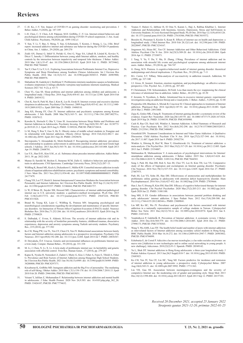- 27. C.-H. Ko, J.-Y. Yen. Impact of COVID-19 on gaming disorder: monitoring and prevention. J Behav Addict, 9 (2020), pp. 187-189
- 28. I.-H. Chen, C.-Y. Chen, A.H. Pakpour, M.D. Griffiths, C.-Y. Lin. Internet-related behaviors and psychological distress among schoolchildren during COVID-19 school suspension. J. Am. Acad. Child Adolesc. Psychiatry, 59(2020), pp. 1099-1102.e1
- 29. Y. Sun, Y. Li, Y. Bao, S. Meng, Y. Sun, G.Schumann, T. Kosten, J. Strang, L. Lu, J.Shi. Brief report: increased addictive internet and substance use behavior during the COVID-19 pandemic in China. Am. J. Addict., 29 (2020), pp. 268-270
- 30. Zsidó AN, Darnai G, Inhóf O, Perlaki G, Orsi G, Nagy SA, Lábadi B, Lénárd K, Kovács N, Dóczi T, Janszky J. Differentiation between young adult Internet addicts, smokers, and healthy controls by the interaction between impulsivity and temporal lobe thickness. J Behav Addict. 2019 Mar 1;8(1):35-47. doi: 10.1556/2006.8.2019.03. Epub 2019 Feb 11. PMID: 30739462; PMCID: PMC7044605.
- 31. Tan Y, Chen Y, Lu Y, Li L. Exploring Associations between Problematic Internet Use, Depressive Symptoms and Sleep Disturbance among Southern Chinese Adolescents. Int J Environ Res Public Health. 2016 Mar 14;13(3):313. doi: 10.3390/ijerph13030313. PMID: 26985900; PMCID: PMC4808976.
- 32. Slabadienė M, Gadeikytė I, Steiblienė V. Probleminio interneto naudojimo sąsajos su bendraisiais sveikatos simptomais ir žalingu alkoholio vartojimu tarp kasdienio interneto naudotojų. Medical Sciences 2021 Vol. 9 (2), p. 63-71
- 33. Chen YL, Gau SS. Sleep problems and internet addiction among children and adolescents: a longitudinal study. J Sleep Res. 2016 Aug;25(4):458-65. doi: 10.1111/jsr.12388. Epub 2016 Feb 8. PMID: 26854132.
- 34. Choi K, Son H, Park M, Han J, Kim K, Lee B, Gwak H. Internet overuse and excessive daytime sleepiness in adolescents. Psychiatry Clin Neurosci. 2009 Aug;63(4):455-62. doi: 10.1111/j.1440- 1819.2009.01925.x. Epub 2009 Mar 25. PMID: 19490510.
- 35. Jang KS, Hwang SY, Choi JY. Internet addiction and psychiatric symptoms among Korean adolescents. J Sch Health. 2008 Mar;78(3):165-71. doi: 10.1111/j.1746-1561.2007.00279.x. PMID: 18307612.
- 36. Kawabe K, Horiuchi F, Oka Y, Ueno SI. Association between Sleep Habits and Problems and Internet Addiction in Adolescents. Psychiatry Investig. 2019 Aug;16(8):581-587. doi: 10.30773/ pi.2019.03.21.2. Epub 2019 Aug 8. PMID: 31389226; PMCID: PMC6710414.
- 37. Li M, Deng Y, Ren Y, Guo S, He X. Obesity status of middle school students in Xiangtan and its relationship with Internet addiction. Obesity (Silver Spring). 2014 Feb;22(2):482-7. doi: 10.1002/oby.20595. Epub 2013 Sep 20. PMID: 23929670.
- 38. Stavropoulos V, Alexandraki K, Motti-Stefanidi F. Recognizing internet addiction: prevalence and relationship to academic achievement in adolescents enrolled in urban and rural Greek high schools. J Adolesc. 2013 Jun;36(3):565-76. doi: 10.1016/j.adolescence.2013.03.008. Epub 2013 Apr 19. PMID: 23608781.
- 39. Lee Y.S., Han D.H., Kim S.M., et. al.: Substance abuse precedes internet addiction. Addict Behav 2013; 38: pp. 2022-2025.
- 40. Munno D, Saroldi M, Bechon E, Sterpone SCM, Zullo G. Addictive behaviors and personality traits in adolescents. CNS Spectrums. Cambridge University Press; 2016;21(2):207–13.
- 41. Wölfling K, Beutel ME, Koch A, Dickenhorst U, Müller KW. Comorbid internet addiction in male clients of inpatient addiction rehabilitation centers: psychiatric symptoms and mental comorbidi J Nerv Ment Dis. 2013 Nov;201(11):934-40. doi: 10.1097/NMD.0000000000000035. PMID: 24177479.
- 42. Chang YH, Lee YT, Hsieh S. Internet Interpersonal Connection Mediates the Association between Personality and Internet Addiction. Int J Environ Res Public Health. 2019 Sep 21;16(19):3537. doi: 10.3390/ijerph16193537. PMID: 31546664; PMCID: PMC6801757.
- 43. Li W, O'Brien JE, Snyder SM, Howard MO. Characteristics of internet addiction/pathological internet use in U.S. university students: a qualitative-method investigation. PLoS One. 2015 Feb 3;10(2):e0117372. doi: 10.1371/journal.pone.0117372. PMID: 25647224; PMCID: PMC4315426.
- 44. Brand M, Young KS, Laier C, Wölfling K, Potenza MN. Integrating psychological and neurobiological considerations regarding the development and maintenance of specific Internetuse disorders: An Interaction of Person-Affect-Cognition-Execution (I-PACE) model. Neurosci Biobehav Rev. 2016 Dec;71:252-266. doi: 10.1016/j.neubiorev.2016.08.033. Epub 2016 Aug 30. PMID: 27590829.
- 45. E. Dalbudak, C. Evren, S. Aldemir, B.Evren. The severity of internet addiction risk and its relationship with the severity of borderline personality features, childhood traumas, dissociative experiences, depression and anxiety symptoms among Turkish university students. Psychiatry Res., 219 (2014), pp. 577-582
- 46. Ko CH, Wang PW, Liu TL, Yen CF, Chen CS, Yen JY. Bidirectional associations between family factors and Internet addiction among adolescents in a prospective investigation. Psychiatry Clin Neurosci. 2015 Apr;69(4):192-200. doi: 10.1111/pcn.12204. Epub 2014 Jul 7. PMID: 24836367.
- 47. D. Deryakulu, Ö.F. Ursavas. Genetic and environmental influences on problematic Internet use: a twin study. Comput. Human Behav., 39 (2014), pp. 331-338
- 48. M. Li, J. Chen, N. Li, X. Li. A twin study of problematic internet use: its heritability and genetic association with effortful control. Twin Res. Human Genet., 17 (2014), pp. 279-287
- 49. Kapus K, Nyulas R, Nemeskeri Z, Zadori I, Muity G, Kiss J, Feher A, Fejes E, Tibold A, Feher G. Prevalence and Risk Factors of Internet Addiction among Hungarian High School Students. Int J Environ Res Public Health. 2021 Jun 30;18(13):6989. doi: 10.3390/ijerph18136989. PMID: 34208800; PMCID: PMC8297371.
- 50. Kircaburun K, Griffiths MD. Instagram addiction and the Big Five of personality: The mediating role of self-liking. J Behav Addict. 2018 Mar 1;7(1):158-170. doi: 10.1556/2006.7.2018.15. Epub 2018 Feb 20. PMID: 29461086; PMCID: PMC6035031.
- 51. Veisani Y, Jalilian Z, Mohamadian F. Relationship between internet addiction and mental health in adolescents. J Educ Health Promot. 2020 Nov 26:9:303. doi: 10.4103/jehp.jehp 362\_20. PMID: 33426107; PMCID: PMC7774632.
- 52. Younes F, Halawi G, Jabbour H, El Osta N, Karam L, Hajj A, Rabbaa Khabbaz L. Internet Addiction and Relationships with Insomnia, Anxiety, Depression, Stress and Self-Esteem in University Students: A Cross-Sectional Designed Study. PLoS One. 2016 Sep 12;11(9):e0161126. doi: 10.1371/journal.pone.0161126. PMID: 27618306; PMCID: PMC5019372.
- 53. Bessière K, Pressman S, Kiesler S, Kraut R. Effects of internet use on health and depression: a longitudinal study. J Med Internet Res. 2010 Feb 28;12(1):e6. doi: 10.2196/jmir.1149. PMID: 20228047; PMCID: PMC3234167.
- 54. Jorgenson AG, Hsiao RC, Yen CF. Internet Addiction and Other Behavioral Addictions. Child Adolesc Psychiatr Clin N Am. 2016 Jul;25(3):509-20. doi: 10.1016/j.chc.2016.03.004. Epub 2016 Apr 11. PMID: 27338971.
- 55. J. Tang, Y. Yu, Y. Du, Y. Ma, D. Zhang, J.Wang. Prevalence of internet addiction and its association with stressful life events and psychological symptoms among adolescent internet users. Addict. Behav., 39 (2014), pp. 744-747
- 56. G. Dong, M.N. Potenza. A cognitive-behavioral model of internet gaming disorder: theoretical underpinnings and clinical implications. J. Psychiatr. Res., 58 (2014), pp. 7-11
- 57. B.L. Carter, S.T. Tiffany. Meta-analysis of cue-reactivity in addiction research. Addiction, 94 (1999), pp. 327-340
- 58. J.J. Gross, H. Jazaieri. Emotion, emotion regulation, and psychopathology: an affective science perspective. Clin. Psychol. Sci., 2 (2014), pp. 387-401
- 59. P. Christiansen, T.M. Schoenmakers, M.Field. Less than meets the eye: reappraising the clinical relevance of attentional bias in addiction. Addict. Behav., 44 (2015), pp. 43-50
- F. Jeromin, N. Nyenhuis, A. Barke. Attentional bias in excessive internet gamers investigations using an addiction Stroop and a visual probe. J. Behav. Addict., 5 (2016), pp. 32-40
- 61. Przepiorka AM, Blachnio A, Miziak B, Czuczwar SJ. Clinical approaches to treatment of Internet addiction. Pharmacol Rep. 2014 Apr;66(2):187-91. doi: 10.1016/j.pharep.2013.10.001. Epub 2014 Mar 2. PMID: 24911068.
- 62. Zajac K, Ginley MK, Chang R. Treatments of internet gaming disorder: a systematic review of the evidence. Expert Rev Neurother. 2020 Jan;20(1):85-93. doi: 10.1080/14737175.2020.1671824. Epub 2019 Sep 26. PMID: 31544539; PMCID: PMC6930980.
- 63. Cash H, Rae CD, Steel AH, Winkler A. Internet Addiction: A Brief Summary of Research and Practice. Curr Psychiatry Rev. 2012 Nov;8(4):292-298. doi: 10.2174/157340012803520513. PMID: 23125561; PMCID: PMC3480687.
- 64. Greenfield DN. Treatment Considerations in Internet and Video Game Addiction: A Qualitative Discussion. Child Adolesc Psychiatr Clin N Am. 2018 Apr;27(2):327-344. doi: 10.1016/j. chc.2017.11.007. Epub 2018 Jan 9. PMID: 29502754.
- 65. Winkler A, Dörsing B, Rief W, Shen Y, Glombiewski JA. Treatment of internet addiction: a meta-analysis. Clin Psychol Rev. 2013 Mar;33(2):317-29. doi: 10.1016/j.cpr.2012.12.005. Epub 2013 Jan 5. PMID: 23354007.
- 66. Malinauskas R, Malinauskiene V. A meta-analysis of psychological interventions for Internet/<br>smartphone addiction among adolescents. J Behav Addict. 2019 Dec 1;8(4):613-624. doi:<br>10.1556/2006.8.2019.72. PMID: 31891316;
- 67. Song J, Park JH, Han DH, Roh S, Son JH, Choi TY, Lee H, Kim TH, Lee YS. Comparative study of the effects of bupropion and escitalopram on Internet gaming disorder. Psychiatry Clin Neurosci. 2016 Nov;70(11):527-535. doi: 10.1111/pcn.12429. Epub 2016 Oct 27. PMID: 27487975.
- 68. Park JH, Lee YS, Sohn JH, Han DH. Effectiveness of atomoxetine and methylphenidate for problematic online gaming in adolescents with attention deficit hyperactivity disorder. Hum Psychopharmacol. 2016 Nov;31(6):427-432. doi: 10.1002/hup.2559. PMID: 27859666.
- 69. Han J, Seo Y, Hwang H, Kim SM, Han DH. Efficacy of cognitive behavioural therapy for internet gaming disorder. Clin Psychol Psychother. 2020 Mar;27(2):203-213. doi: 10.1002/cpp.2419. Epub 2020 Jan 22. PMID: 31881100.
- 70. Jang MH, Ji ES. Gender differences in associations between parental problem drinking and early adolescents' internet addiction. J Spec Pediatr Nurs. 2012 Oct;17(4):288-300. doi: 10.1111/j.1744-6155.2012.00344.x. PMID: 23009041.
- 71. Lin MP, Ko HC, Wu JY. Prevalence and psychosocial risk factors associated with internet addiction in a nationally representative sample of college students in Taiwan. Cyberpsychol Behav Soc Netw. 2011 Dec;14(12):741-6. doi: 10.1089/cyber.2010.0574. Epub 2011 Jun 8. PMID: 21651418.
- 72. Vondráčková P, Gabrhelík R. Prevention of Internet addiction: A systematic review. J Behav Addict. 2016 Dec;5(4):568-579. doi: 10.1556/2006.5.2016.085. Epub 2016 Dec 21. PMID: 27998173; PMCID: PMC5370363.
- 73. Wang Y, Wu AMS, Lau JTF. The health belief model and number of peers with internet addiction as inter-related factors of Internet addiction among secondary school students in Hong Ko BMC Public Health. 2016 Mar 16;16:272. doi: 10.1186/s12889-016-2947-7. PMID: 26983882; PMCID: PMC4794899.
- 74. Echeburúa E, de Corral P. Adicción a las nuevas tecnologías y a las redes sociales en jóvenes: un nuevo reto [Addiction to new technologies and to online social networking in young people: A new challenge]. Adicciones. 2010;22(2):91-5. Spanish. PMID: 20549142.
- 75. Yu L, Shek DT. Internet addiction in Hong Kong adolescents: a three-year longitudinal study. J Pediatr Adolesc Gynecol. 2013 Jun;26(3 Suppl):S10-7. doi: 10.1016/j.jpag.2013.03.010. PMID: 23683821.
- 76. Ko CH, Yen JY, Yen CF, Lin HC, Yang MJ. Factors predictive for incidence and remission of internet addiction in young adolescents: a prospective study. Cyberpsychol Behav. 2007 Aug;10(4):545-51. doi: 10.1089/cpb.2007.9992. PMID: 17711363.
- 77. Lin YH, Gau SS. Association between morningness-eveningness and the severity of compulsive Internet use: the moderating role of gender and parenting style. Sleep Med. 2013 Dec;14(12):1398-404. doi: 10.1016/j.sleep.2013.06.015. Epub 2013 Sep 12. PMID: 24157101.

*Received 20 December 2021, accepted 25 January 2022 Straipsnis gautas 2021-12-20, priimtas 2022-01-25*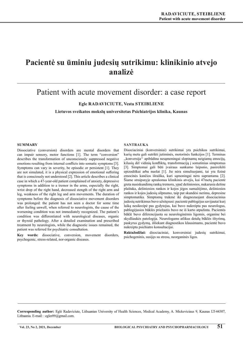### **Pacientė su ūminiu judesių sutrikimu: klinikinio atvejo analizė**

### Patient with acute movement disorder: a case report

**Egle Radaviciute, Vesta Steibliene**

**Lietuvos sveikatos mokslų universitetas Psichiatrijos klinika, Kaunas** 

### **Summary**

Dissociative (conversion) disorders are mental disorders that can impair sensory, motor functions [1]. The term "conversion" describes the transformation of unconsciously suppressed negative emotions resulting from internal conflicts into somatic symptoms [3]. Symptoms can vary in severity, be episodic or persistent [1]. They are not simulated, it is a physical expression of emotional suffering that is consciously not understood [2]. This article describes a clinical case in which a 47-year-old patient complained of anxiety, depressive symptoms in addition to a tremor in the arms, especially the right, wrist drop of the right hand, decreased stength of the right arm and leg, weakness of the right leg and arm movements. The duration of symptoms before the diagnosis of dissociative movement disorders was prolonged: the patient has not seen a doctor for some time after feeling unwell, when referred to neurologists, the cause of the worsening condition was not immediately recognized. The patient's condition was differentiated with neurological diseases, organic or thyroid pathology. After a detailed examination and prescribed treatment by neurologists, while the diagnostic issues remained, the patient was referred for psychiatric consultation.

**Key words:** dissociative, conversion, movement disorders, psychogenic, stress-related, nor-organic diseases.

### **SANTRAUKA**

Disociaciniai (konversiniai) sutrikimai yra psichikos sutrikimai, kurių metu gali sutrikti jutiminės, motorinės funkcijos [1]. Terminas ,,konversija'' apibūdina nesąmoningai slopinamų neigiamų emocijų, kilusių dėl vidinių konfliktų, transformaciją į somatinius simptomus [3]. Simptomai gali būti įvairaus sunkumo laipsnio, pasireikšti epizodiškai arba nuolat [1]. Jie nėra simuliuojami, tai yra fizinė emocinės kančios išraiška, kuri sąmoningai nėra suprantama [2]. Šiame straipsnyje aprašomas klinikinis atvejis, kai 47metų pacientė greta nusiskundimų rankų tremoru, ypač dešiniosios, nukarusia dešine plaštaka, dešiniosios rankos ir kojos jėgos sumažėjimo, dešiniosios rankos ir kojos judesių silpnumo, taip pat skundėsi nerimu, depresine simptomatika. Simptomų trukmė iki diagnozuojant disociacinius judesių sutrikimus buvo užsitęsusi: pacientė pablogėjus savijautai kurį laiką nesikreipė pas gydytojus, kai buvo nukreipta pas neurologus, pablogėjusios būklės priežastis buvo ne iš karto atpažinta. Pacientės būklė buvo diferencijuota su neurologinėmis ligomis, organine bei skydliaukės patologija. Neurologams atlikus detalų būklės ištyrimą, paskyrus gydymą, išliekant diagnostikos klausimams, pacientė buvo nukreipta psichiatro konsultacijai.

**Raktažodžiai:** disociaciniai, konversiniai judesių sutrikimai, psichogeninis, susijęs su stresu, neorganinės ligos.

**Corresponding author:** Eglė Radaviciute, Lithuanian University of Health Sciences, Medical Academy, A. Mickeviciaus 9, Kaunas LT-44307, Lithuania. E-mail: : egler09@gmail.com.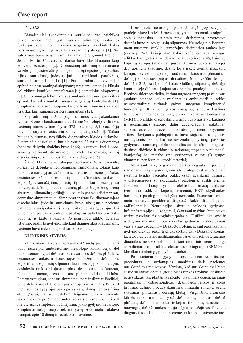### **ĮVADAS**

Disociaciniai (konversiniai) sutrikimai yra psichikos būklė, kurios metu gali sutrikti jutiminės, motorinės funkcijos, sutrikimų priežasties negalima paaiškinti kokia nors neurologine liga arba kita organine patologija [1]. Šie sutrikimai buvo nagrinėjami 19 amžiuje Sigmund Freud ir Jean – Martin Charcot, sutrikimai buvo klasifikuojami kaip konversinės isterijos [2]. Disociacinių sutrikimų klinikiniame vaizde gali pasireikšti psichogeniniai epilepsijos priepuoliai, rijimo sutrikimai, judesių, jutimų sutrikimai, paralyžius, sutrikusi atmintis ir kt [1]. Pats terminas ,,konversija'' apibūdina nesąmoningai slopinamų neigiamų emocijų, kilusių dėl vidinių konfliktų, transformaciją į somatinius simptomus [3]. Simptomai gali būti įvairaus sunkumo laipsnio, pasireikšti epizodiškai arba nuolat, žmogus negali jų kontroliuoti [1]. Simptomai nėra simuliuojami, tai yra fizinė emocinės kančios išraiška, kuri sąmoningai nėra suprantama [2].

Šių sutrikimų dažnis pagal šaltinius yra pakankamai įvairus: Stone ir bendraautorių atliktame Neurologijos klinikos pacientų imties tyrime ištyrus 3781 pacientą, 5,4 proc. iš jų buvo nustatyta disociacinių sutrikimų diagnozė [4]. Tačiau būtinas budrumas, nes išlieka diagnostinės klaidos tikimybė. Sisteminėje apžvalgoje, kurioje vertinti 27 tyrimų duomenys (bendras dalyvių skaičius buvo 1466), nustatyta, kad 4 proc. asmenų vertinant dinamikoje, 5 metų laikotarpiu, vietoj disociacinių sutrikimų nustatoma kita diagnozė [5].

Šiame klinikiniame atvejyje aprašoma 47m. pacientė, kuriai liga debiutavo neurologiniais simptomais, tokiais kaip rankų tremoru, ypač dešiniosios, nukarusia dešine plaštaka, dešiniosios kūno pusės nutirpimu, dešiniosios rankos ir kojos jėgos sumažėjimu, judesių silpnumu, kuris nesusijęs su nuovargiu, dešiniojo peties skausmu, plintančiu į mentę, strėnų skausmu, plintančiu į dešinįjį klubą, taip pat skundėsi nerimu, depresine simptomatika. Simptomų trukmė iki diagnozuojant disociacinius judesių sutrikimus buvo užsitęsusi: pacientė pablogėjus savijautai kurį laiką nesikreipė pas gydytojus, kai buvo nukreipta pas neurologus, pablogėjusios būklės priežastis buvo ne iš karto atpažinta. Po neurologų atlikto detalaus ištyrimo, paskirto gydymo, išliekant diagnostikos klausimams, pacientė buvo nukreipta psichiatro konsultacijai.

### **KLINIKINIS ATVEJIS**

Klinikiniame atvejyje aprašoma 47 metų pacientė, kuri buvo nukreipta ambulatorinei neurologo konsultacijai dėl rankų tremoro, ypač dešiniosios, nukarusios dešinės plaštakos, dešiniosios rankos ir kojos jėgos sumažėjimo, dešiniosios kojos ir rankos judesių silpnumo, kuris nesusijęs su nuovargiu, dešiniosios rankos ir kojos nutirpimo, dešiniojo peties skausmo, plintančio į mentę, strėnų skausmo, plintančio į dešinįjį klubą. Pacientės teigimu, panašūs simptomai, nors ir silpniau išreikšti, buvo stebėti prieš 10 metų ir pasikartoję prieš 4 metus. Prieš 10 metų šeimos gydytojas buvo paskyręs gydymą Pentoksifilinu 400mg/parai, tačiau nestebint teigiamo efekto pacientė savo nuožiūra po 5 dienų nutraukė vaisto vartojimą. Prieš 4 metus, esant simptomų paūmėjimui, jokio gydymo nevartojo. Simptomai tiek pirmojo, tiek antrojo epizodo metu trukdavo trumpai, apie 10 dienų ir redukavosi savaime.

Konsultuota neurologo pacientė teigė, jog savijauta pradėjo blogėti prieš 5 mėnesius, ypač simptomai sustiprėjo apie 3 mėnesius – stiprėjo rankų drebėjimas, progresavo dešinės kūno pusės galūnių silpnumas. Neurologinio ištyrimo metu nustatyta ženkliai sumažėjusi dešiniosios rankos jėga (dešinėje 2–3, kairėje 4–5 balai), refleksai labai vangūs, atliktas Lasego testas – dešinė koja buvo iškelta 45, kairė 70 laipsnių kampu (abiejuose pusėse kėlimas buvo sumažėjęs dėl juosmens skausmo, dešinę koją iškėlė žymiai mažesniu kampu, nes kėlimą apribojo jaučiamas skausmas, plintantis į dešinįjį klubą), susilpnėjusi dorsalinė pėdos nykščio fleksija: dešinėje 2–3, kairėje – 4 balai. Galūnių silpnumą dešinėje kūno pusėje diferencijuojant su organine patologija - naviku, išsėtinės sklerozės rizika, įtariant nugaros smegenų pažeidimus (stuburo stenozę, kaklo mielopatiją) ambulatoriškai atlikti neurovizualiniai tyrimai: galvos smegenų kompiuterinė tomografija (KT) bei galvos smegenų, stuburo kaklinės bei juosmeninės dalies magnetinio rezonanso tomografija (MRT). Po atliktų diagnostinių tyrimų buvo nustatyti kaklinės ir juosmeninės stuburo dalių degeneraciniai pakitimai, stuburo osteochondrozė – kaklinės, juosmens, kryžmens srities. Savijautos pablogėjimas buvo siejamas su ligomis, nustatytomis po atliktų neurovizualinių tyrimų, paskirtas gydymas: raumenų elektrostimuliacija (plačiojo nugaros, deltinio, didžiojo ir vidurinio sėdmenų, trapecinio raumens), kraujotaką bei metabolizmą gerinantys vaistai (B grupės vitaminai, periferiniai vazodilatatoriai).

Nepaisant taikyto gydymo, efekto negauta ir pacientė stacionarizuota į regiono ligoninės Neurologijos skyrių. Siekiant įvertinti bendrą pacientės būklę, esant neaiškiam tremorui – diferencijuota su skydliaukės patologija, atlikti tyrimai (biocheminiai kraujo tyrimai: elektrolitai, inkstų funkcijos įvertinimo rodikliai, kepenų fermentai, BKT, skydliaukės hormonai) patologinių pokyčių neparodė. Stacionarizavimo metu nustatyta papildoma diagnozė: kaklo diskų liga su radikulopatija. Neurologijos skyriuje taikytas gydymas: infuzinės terapijos – uždegimui, skausmui mažinti, kraujotakai gerinti paskirtas fiziologinis tirpalas su Eufilinu, skausmo ir uždegimo mažinimui buvo skirtas gydymas nesteroidiniais vaistais nuo uždegimo – Deksketoprofenu, nesant pakankamam gydymo efektui, paskirti gliukokortikoidai - Deksametazonas, tačiau objektyviai po medikamentinio gydymo jokios teigiamos dinamikos nebuvo stebima. Įtariant motorinio neurono ligą ar polineuropatiją, atlikta elektroneuromiografija (ENMG) – kliniškai reikšmingų pokyčių nestebėta.

Po stacionarinio gydymo, tęsiant neuroreabilitacijos procedūras ir gydomąsias mankštas dalis pacientės nusiskundimų redukavosi. Vertinta, kad nusiskundimai buvo susiję su radikulopatija (dešiniosios rankos tirpimas, dešiniojo peties skausmas, plintantis į mentę), kauliniais degeneraciniais pakitimais ir osteochondroze (dešiniosios rankos ir kojos tirpimas, dešiniojo peties skausmas, plintantis į mentę, strėnų skausmas, plintantis į dešinįjį klubą). Visgi išliko neaiškios kilmės rankų tremoras, ypač dešiniosios, nukarusi dešinė plaštaka, dešiniosios rankos ir kojos silpnumas, nesusijęs su nuovargiu, dešinės rankos ir kojos jėgos sumažėjimas. Išliekant diagnostikos klausimams pacientė nukreipta universitetinės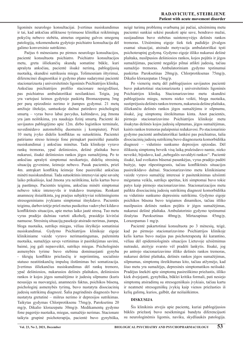ligoninės neurologo konsultacijai. Įvertinus nusiskundimus ir tai, kad anksčiau atliktuose tyrimuose kliniškai reikšmingų pokyčių nebuvo stebėta, atmetus organinę galvos smegenų patologiją, rekomenduota gydytojo psichiatro konsultacija dėl galimo konversinio sutrikimo.

Paėjus 6 mėnesiams po pirmos neurologo konsultacijos, pacientė konsultuota psichiatro. Psichiatro konsultacijos metu, greta išliekančių skundų somatine būkle, kuri aprašyta anksčiau, pacientė išsakė nerimą, pablogėjusią nuotaiką, skundėsi sutrikusiu miegu. Tolimesniam ištyrimui, diferencinei diagnostikai ir gydymo plano sudarymui pacientė stacionarizuota į universitetinės ligoninės Psichiatrijos kliniką. Anksčiau psichiatrijos profilio stacionare nesigydžiusi, pas psichiatrus ambulatoriškai nesilankiusi. Teigia, jog yra vartojusi šeimos gydytojo paskirtą Bromazepamą 3mg per parą epizodinio nerimo ir įtampos gydymui. 21 metų amžiuje ištekėjo, santuokoje dažnai patirdavo psichologinį smurtą – vyras buvo labai pavydus, kaltindavo, jog žmona yra jam neištikima, yra naudojęs fizinį smurtą. Pacientė iki savijautos pablogėjimo apie 12m. dirbo logistikos terminale, suvedinėdavo automobilių duomenis į kompiuterį. Prieš 10 metų įvyko didelis konfliktas su sutuoktiniu. Pacientei patiriamo streso šeimoje fone pirmąkart pasireiškė panašūs nusiskundimai į anksčiau minėtus. Tada klinikoje vyravo rankų tremoras, ypač dešiniosios, dešinė plaštaka buvo nukarusi, išsakė dešiniosios rankos jėgos sumažėjimą. Po to anksčiau aprašyti simptomai nesikartojo, didelių stresinių situacijų gyvenime, šeimoje nebuvo. Pasak pacientės, prieš 4m. antrąkart konfliktų šeimoje fone pasireiškė anksčiau minėti nusiskundimai. Tada sutuoktinis intensyviai apie savaitę laiko prikaišiojo, kad žmona yra neištikima, kelis kartus buvo ją pastūmęs. Pacientės teigimu, anksčiau minėti simptomai nebuvo tokie intensyvūs ir trukdavo trumpiau. Renkant anamnezę išsiaiškinta, jog praėjus subjektyviai reikšmingiems stresogeniniams įvykiams simptomai išnykdavo. Pacientės teigimu, darbovietėje prieš metus pasikeitus vadovybei kildavo konfliktinės situacijos, apie metus laiko jautė stresą. Tuo metu vyras pradėjo dažniau vartoti alkoholį, prasidėjo kivirčai namuose. Stresinių situacijų pasekoje atsirado nerimas, įtampa, bloga nuotaika, sutrikęs miegas, vėliau išryškėjo somatiniai nusiskundimai. Gydymo Psichiatrijos klinikoje eigoje klinikiniame vaizde vyravo nerimastingumas, pažeminta nuotaika, sumažėjęs savęs vertinimas ir pasitikėjimas savimi, baimė, jog gali nepasveikti, sutrikęs miegas. Psichologinės asmenybės tyrime buvo stebima dominuojanti gynyba - tikrųjų konflikto priežasčių ir nepriimtinų, socialinio statuso neatitinkančių impulsų išstūmimas bei somatizacija. Įvertinus išliekančius nusiskundimus dėl rankų tremoro, ypač dešiniosios, nukarusios dešinės plaštakos, dešiniosios rankos ir kojos jėgos sumažėjimo ir judesių silpnumo (kuris nesusijęs su nuovargiu), anamnezės faktus, psichikos būseną, psichologinį asmenybės tyrimą, buvo nustatyta disociacinių judesių sutrikimų diagnozė. Šalia pagrindinės diagnozės buvo nustatyta gretutinė – mišrus nerimo ir depresijos sutrikimas. Taikytas gydymas Chlorprotiksenu 75mg/p, Paroksetinu 20 mg/p, Dikalio klorazepatu 30mg/p. Medikamentų gydymo fone pagerėjo nuotaika, miegas, sumažėjo nerimas. Stacionare taikyta grupinė psichoterapija, pacientė buvo gynybiška,

neigė turimų problemų svarbumą jai pačiai, užsiėmimų metu pacientei sunkiai sekėsi pasakoti apie save, bendravo mažai, susijaudinus buvo stebėtas suintensyvėjęs dešinės rankos tremoras. Užsiėmimų eigoje šiek tiek padidėjo įžvalgos esamai situacijai, atsirado motyvacija ambulatoriškai tęsti psichoterapinį gydymą. Gydymo eigoje išliko nukarusi dešinė plaštaka, nusilpusios dešiniosios rankos, kojos pojūtis ir jėgos sumažėjimas, pacientė negalėjo pilnai atlikti judesių, tačiau sumažėjo tremoras. Ambulatoriniam gydymo tęstinumui paskirtas Paroksetinas 20mg/p, Chlorprotiksenas 75mg/p, Dikalio klorazepatas 15mg/p.

Po vienerių metų dėl pablogėjusios savijautos pacientė buvo pakartotinai stacionarizuota į universitetinės ligoninės Psichiatrijos kliniką. Stacionarizavimo metu skundėsi pablogėjusiu miegu, nenoru nieko veikti, bloga nuotaika, sustiprėjusiu dešinės rankos tremoru, nukarusia dešine plaštaka, išliekančiu dešinės rankos jėgos sumažėjimu ir silpnumu, išsakė, jog simptomų išreikštumas kinta. Anot pacientės, pirmojo stacionarizavimo Psichiatrijos klinikoje metu išsakytas dešinės kojos judesių silpnumas, jėgos sumažėjimas, kairės rankos tremoras palaipsniui redukavosi. Po stacionarinio gydymo pacientė ambulatoriškai lankėsi pas psichiatrus, šalia disociacinių judesių sutrikimų buvo diagnozuota komorbidiška diagnozė – vidutinio sunkumo depresijos epizodas. Dėl išlikusių simptomų beveik visą laiką praleisdavo namie, nieko neveikė, bijodavo, kad ,,nebegalės suvaldyti rankos''. Pacientė išsakė, kad sveikatos būsenai pasunkėjus, vyras pradėjo padėti buityje, tapo rūpestingesnis, tačiau konfliktinės situacijos pasireikšdavo dažnai. Stacionarizavimo metu klinikiniame vaizde vyravo sumažėję interesai ir pasitenkinimas užsiimti mėgstama veikla, sutrikęs apetitas, kiti simptomai buvo tokie patys kaip pirmojo stacionarizavimo. Stacionarizacijos metu palikta disociacinių judesių sutrikimų diagnozė komorbidiška su vidutinio sunkumo depresiniu sutrikimu. Gydymo eigoje psichikos būsena buvo teigiamos dinamikos, tačiau išliko nusilpusios dešinės rankos pojūtis ir jėgos sumažėjimas, nukarusi dešinė plaštaka. Ambulatorinio gydymo tęstinumui išrašytas Paroksetinas 40mg/p, Mirtazapinas 45mg/p, Lorazepamas 1 mg/p.

Pacientė pakartotinai konsultuota po 3 mėnesių, teigė, kad po pirmojo stacionarizavimo Psichiatrijos klinikoje kelis kartus buvo nuėjus pas psichoterapeutą iki karantino, vėliau dėl epidemiologinės situacijos Lietuvoje užsiėmimus nutraukė, ateityje svarsto vėl pradėti lankytis. Išsakė, jog po antrojo stacionarizavimo išliko dešinės rankos tremoras, nukarusi dešinė plaštaka, dešinės rankos jėgos sumažėjimas, silpnumas, simptomų išreikštumas kito, tačiau atžymėjo, kad šiuo metu yra sumažėjęs, depresinės simptomatikos neišsakė. Pradėjus šnekėti apie simptomų pasireiškimo priežastis, išliko kiek dvejojanti, gynybiška, būklei kritika formali, pati nesiejo simptomų atsiradimų su stresogeniškais įvykiais, tačiau kartu ir neatmetė stresogeniškų įvykių kaip vienos priežasties iš kelių galimų, kurios, galbūt, dar neišaiškintos.

### **DISKUSIJA**

Šis klinikinis atvejis apie pacientę, kuriai pablogėjusios būklės priežastį buvo nesėkmingai bandyta diferencijuoti su neurologinėmis ligomis, naviku, skydliaukės patologija.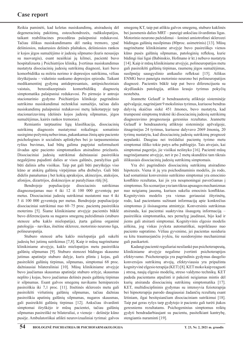Reikia paminėti, kad keletas nusiskundimų, atsiradusių dėl degeneracinių pakitimų, osteochondrozės, radikulopatijos, taikant reabilitacines procedūras palaipsniui redukavosi. Tačiau išlikus nusiskundimams dėl rankų tremoro, ypač dešiniosios, nukarusios dešinės plaštakos, dešiniosios rankos ir kojos jėgos sumažėjimo ir judesių silpnumo (kuris nesusijęs su nuovargiu), esant neaiškiai jų kilmei, pacientė buvo hospitalizuota į Psichiatrijos kliniką. Įvertinus nusiskundimus nustatyta disociacinių judesių sutrikimų diagnozė, kuri buvo komorbidiška su mišriu nerimo ir depresijos sutrikimu, vėliau išryškėjusiu – vidutinio sunkumo depresijos epizodu. Taikant medikamentinį gydymą antidepresantais, antipsichoziniais vaistais, benzodiazepinais komorbidiškų diagnozių simptomatika palaipsniui redukavosi. Po pirmojo ir antrojo stacionarinio gydymo Psichiatrijos klinikoje pagrindinio sutrikimo nusiskundimai neženkliai sumažėjo, tačiau dalis nusiskundimų palaipsniui redukavosi metų laikotarpyje tarp stacionarizavimų (dešinės kojos judesių silpnumas, jėgos sumažėjimas, kairės rankos tremoras).

Remiantis tarptautine ligų klasifikacija, disociacinių sutrikimų diagnozės nustatymui reikalinga: somatinio susirgimo požymių nebuvimas, pakankamas žinių apie paciento psichologines ir socialinės aplinkybes bei jo tarpasmeninius ryšius buvimas, kad būtų galima pagrįstai suformuluoti išvadas apie paciento simptomatikos atsiradimo priežastis. Disociaciniai judesių sutrikimai dažniausiai pasireiškia negalėjimu pajudinti dalies ar visos galūnės, paralyžius gali būti dalinis arba visiškas. Taip pat gali būti paryškėjęs viso kūno ar atskirų galūnių virpėjimas arba drebulys. Gali būti didelis panašumas į bet kokią apraksijos, akinezijos, ataksijos, afonijos, dizartrijos, diskinezijos ar paralyžiaus rūšį [6].

Bendrojoje populiacijoje disociacinis sutrikimas diagnozuojamas nuo 4 iki 12 iš 100 000 gyventojų per metus. Disociaciniai judesių sutrikimai nustatomi nuo 4 iki 5 iš 100 000 gyventojų per metus. Bendrojoje populiacijoje disociaciniai sutrikimai nuo 60–75 proc. pacientų pasireiškia moterims [5]. Šiame klinikiniame atvejyje pacientės būklė buvo diferencijuota su nugaros smegenų pažeidimais (stuburo stenoze arba kaklo mielopatija), įtarta galima organinė patologija – navikas, išsėtine skleroze, motorinio neurono liga, polineuropatija.

Stuburo stenozė arba kaklo mielopatija gali sukelti judesių bei jutimų sutrikimus [7,8]. Kaip ir mūsų nagrinėtame klinikiniame atvejyje, kaklo mielopatijos metu pasireiškia galūnių silpnumas [9]. Stuburo stenozei būdingas skausmo jutimas apatinėje stuburo dalyje, kuris plinta į kojas, gali pasireikšti galūnių tirpimas, silpnumas, simptomai 68 proc. dažniausiai bilateraliniai [10]. Mūsų klinikiniame atvejyje buvo jaučiamas skausmas apatinėje stuburo srityje, skausmas neplito į kojas, buvo jaučiamas dešinės pusės galūnių tirpimas ir silpnumas. Esant galvos smegenų navikams hemiparezės pasireiškia iki 7,1 proc. [11]. Išsėtinės sklerozės metu gali pasireikšti viršutinių galūnių silpnumas, tačiau dažniau pasireiškia apatinių galūnių silpnumas, nugaros skausmas, gali pasireikšti galūnių tirpimas [12]. Anksčiau išvardinti simptomai išryškėjo ir mūsų pacientei, tačiau galūnių silpnumas pasireiškė ne bilateraliai, o vienoje – dešinėje kūno pusėje. Ambulatoriškai atlikti neurovizualiniai tyrimai: galvos

smegenų KT, taip pat atlikta galvos smegenų, stuburo kaklinės bei juosmenis dalies MRT – paneigė anksčiau išvardintas ligas. Motorinio neurono pažeidimui – šoninei amiotrofinei sklerozei būdingas galūnių nusilpimas (80proc. asimetrinis) [13]. Mūsų nagrinėtame klinikiniame atvejyje buvo pasireiškęs vienos kūno pusės galūnių silpnumas, patologinių refleksų, kurie būdingi šiai ligai (Babinskio, Hofmano ir kt.) nebuvo nustatyta [14]. Kaip ir mūsų klinikiniame atvejyje, polineuropatijos metu gali pasireikšti galūnių tirpimas, raumenų jėgos sumažėjimas, susilpnėję sausgyslinio antkaulio refleksai [15]. Atlikus ENMG buvo paneigta motorinio neurono bei polineuropatijos diagnozė. Pacientės būklė taip pat buvo diferencijuota su skydliaukės patologija, atlikus kraujo tyrimus pokyčių nestebėta.

Jeannette Gelauff ir bendraautorių atliktoje sisteminėje apžvalgoje, nagrinėjant 9 mokslinius tyrimus, kuriuose bendras dalyvių skaičius siekė 451 žmones, buvo nustatyta, kad trumpesnė simptomų trukmė iki disociacinių judesių sutrikimų diagnozavimo prognozuoja geresnius rezultatus. Jeannette Gelauff ir bendraautorių atliktoje sisteminėje apžvalgoje, išnagrinėjus 24 tyrimus, kuriuose dalyvavo 2069 žmonių, 20 tyrimų nustatyta, kad disociacinių judesių sutrikimų prognozė nepalanki. Daugiau nei trečdaliui pacientų tyrimo metu simptomai išliko tokie patys arba pablogėjo. Tais atvejais, kai simptomai pagerėjo, jie visiškai neišnyko [16]. Pacientė mūsų nagrinėjamame atvejyje, net ir po 2 metų skundžėsi tam tikrais išlikusiais disociacinių judesių sutrikimų simptomais.

Yra dvi pagrindinės disociacinių sutrikimų atsiradimo hipotezės. Viena iš jų yra psichodinaminis modelis, jis rodo, kad somatiniai konversinio sutrikimo simptomai yra emocinio konflikto rezultatas, kai jis yra nesąmoningai paverčiamas į simptomus. Šis scenarijus yra tam tikras apsaugos mechanizmas nuo neigiamų jausmų, kuriuos sukelia emocinis konfliktas. Kognityvinis modelis yra vienas geriausiai ištyrinėtų, rodo, kad pacientams sužinant informaciją apie konkrečius simptomus ji išsisaugoma atmintyje. Konversinis sutrikimas atsiranda, kai pacientai suaktyvina išsaugotą informaciją – pasireiškia simptomatika, nes pernelyg jaudinasi, bijo kad ir jiems gali atsirasti simptomai. Kognityvinis elgesio modelis aiškina, jog viskas įvyksta automatiškai, nepriklauso nuo paciento supratimo. Vėliau gyvenime, jei pacientas susiduria su kitu traumuojančiu įvykiu, šie susidorojimo mechanizmai gali pasikartoti.

Kadangi pacientė reguliariai nesilankė pas psichoterapeutą, klinikiniame atvejyje negalime įvertinti psichoterapijos efektyvumo. Psichoterapija yra pagrindinis gydymas daugelio konversijos sutrikimų atvejų, efektyviausia yra pripažinta kognityvinė elgesio terapija (KET) [8]. KET moko kaip reaguoti į stresą, naujų elgesio modelių, streso valdymo technikų. KET padeda pacientams atpažinti ir pakeisti neigiamas mintis dėl kurių atsiranda disociacinių sutrikimų simptomatika [17]. KET, multidisciplininis gydymas su intensyvia fizioterapija bei hipnoterapija parodo daugiausiai žadančių rezultatų esant lėtiniam, ilgai besitęsiančiam disociaciniam sutrikimui [18]. Taip pat geras ryšys tarp gydytojo ir paciento gali turėti įtakos geresniems rezultatams. Psichogeninius simptomus reiktų gydyti bendradarbiaujant su pacientu, pasitelkiant kantrybę, stengiantis nuraminti [19].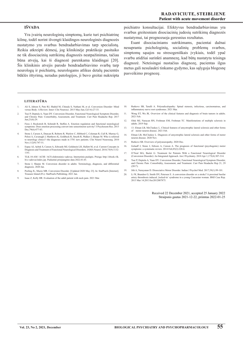### **IŠVADA**

Yra įvairių neurologinių simptomų, kurie turi psichiatrinę kilmę, todėl norint išvengti klaidingos neurologinės diagnozės nustatymo yra svarbus bendradarbiavimas tarp specialistų. Reikia atkreipti dėmesį, jog klinikinėje praktikoje pasitaiko ne tik disociacinių sutrikimų diagnozės neatpažinimas, tačiau būna atvejų, kai ši diagnozė parenkama klaidingai [20]. Šis klinikinis atvejis parodo bendradarbiavimo svarbą tarp neurologų ir psichiatrų, neurologams atlikus detalų pacientės būklės ištyrimą, neradus patologijos, ji buvo greitai nukreipta psichiatro konsultacijai. Efektyvus bendradarbiavimas yra svarbus greitesniam disociacinių judesių sutrikimų diagnozės nustatymui, tai prognozuoja geresnius rezultatus.

Esant disociaciniams sutrikimams, pacientai dažnai nesupranta psichologinių, socialinių problemų svarbos, simptomų sąsajos su stresogeniškais įvykiais, todėl ypač svarbu atidžiai surinkti anamnezę, kad būtų nustatyta teisinga diagnozė. Neteisingai nustačius diagnozę, pacientas ilgus metus gali nesulaukti tinkamo gydymo, kas sąlygoja blogesnę pasveikimo prognozę.

#### **literatūra**

- 1. Ali S, Jabeen S, Pate RJ, Shahid M, Chinala S, Nathani M, et al. Conversion Disorder- Mind versus Body: A Review. Innov Clin Neurosci. 2015 May-Jun;12(5-6):27-33.
- 2. Tsui P, Deptula A, Yuan DY. Conversion Disorder, Functional Neurological Symptom Disorder, and Chronic Pain: Comorbidity, Assessment, and Treatment. Curr Pain Headache Rep. 2017  $Im(21(6)/29)$
- 3. Fiess J, Rockstroh B, Schmidt R, Steffen A. Emotion regulation and functional neurological ms: Does emotion processing convert into sensorimotor activity? J Psychosom Res. 2015 symptoms: Does en<br>Dec;79(6):477-83.
- 4. Stone J, Carson A, Duncan R, Roberts R, Warlow C, Hibberd C, Coleman R, Cull R, Murray G, Pelosi A, Cavanagh J, Matthews K, Goldbeck R, Smyth R, Walker J, Sharpe M. Who is referred to neurology clinics?--the diagnoses made in 3781 new patients. Clin Neurol Neurosurg. 2010 Nov;112(9):747-51.
- 5. Espay AJ, Aybek S, Carson A, Edwards MJ, Goldstein LH, Hallett M, et al. Current Concepts in Diagnosis and Treatment of Functional Neurological Disorders. JAMA Neurol. 2018;75(9):1132-1141.
- 6. TLK-10-AM / ACHI / ACS elektroninis vadovas. Internetinis puslapis. Prieiga: http://ebook.vlk. lt/e.vadovas/index.jsp. Paskutinė prisijungimo data 2022.01.03.
- 7. Stone J, Sharpe M. Conversion disorder in adults: Terminology, diagnosis, and differential diagnosis. 2020 Jan.
- 8. Peeling JL, Muzio MR. Conversion Disorder. [Updated 2020 May 23]. In: StatPearls [Internet]. Treasure Island (FL): StatPearls Publishing; 2021 Jan.
- 9. Isaac Z, Kelly HR. Evaluation of the adult patient with neck pain. 2021 Mar.
- 10. Rutkove SB, Tarulli A. Polyradiculopathy: Spinal stenosis, infectious, carcinomatous, and inflammatory nerve root syndromes. 2021 Mar.
- 11. Wong ET, Wu JK. Overview of the clinical features and diagnosis of brain tumors in adults. 2021 Feb.
- 12. Olek MJ, Narayan RN, Frohman EM, Frohman TC. Manifestations of multiple sclerosis in adults. 2019 Sep.
- 13. 13. Elman LB, McCluskey L. Clinical features of amyotrophic lateral sclerosis and other forms of motor neuron disease. 2021 Feb.
- 14. Elman LB, McCluskey L. Diagnosis of amyotrophic lateral sclerosis and other forms of motor neuron disease. 2020 Nov.
- 15. Rutkove SB. Overview of polyneuropathy. 2020 Dec.
- 16. Gelauff J, Stone J, Edwars A, Carson A. The prognosis of functional (psychogenic) motor symptoms: a systematic review. 2014 Feb;85(2):220-6.
- 17. O'Neal MA, Baslet G. Treatment for Patients With a Functional Neurological Disorder (Conversion Disorder): An Integrated Approach. Am J Psychiatry. 2018 Apr 1;175(4):307-314.
- 18. Tsui P, Deptula A, Yuan DY. Conversion Disorder, Functional Neurological Symptom Disorder, and Chronic Pain: Comorbidity, Assessment, and Treatment. Curr Pain Headache Rep 21, 29 (2017).
- 19. Jith A, Narayanan D. Dissociative Motor Disorder. Indian J Psychol Med. 2017;39(1):99-101.
- 20. Li W, Brandon O, Smith DV, Petersen E. A conversion disorder or a stroke? A proximal basilar artery thrombosis induced , locked-in' syndrome in a young Caucasian woman. BMJ Case Rep. 2013 Mar 14;2013:bcr2012007875.

Received 22 December 2021, accepted 25 January 2022 Straipsnis gautas 2021-12-22, priimtas 2022-01-25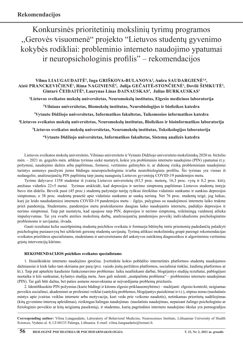Konkursinės prioritetinių mokslinių tyrimų programos ,,Gerovės visuomenė" projekto "Lietuvos studentų gyvenimo kokybės rodikliai: probleminio interneto naudojimo ypatumai ir neuropsichologinis profilis" – rekomendacijos

### **Vilma Liaugaudaitė1 , Inga Griškova-Bulanova2 , Aušra Saudargienė3,4,**  Aistė PRANCKEVIČIENĖ<sup>1</sup>, Rima NAGINIENĖ<sup>5</sup>, Julija GEČAITĖ-STONČIENĖ<sup>1</sup>, Dovilė ŠIMKUTĖ<sup>2</sup>, Gintarė ČEIDAITĖ<sup>6</sup>, Laurynas Linas DAINAUSKAS<sup>4</sup>, Julius BURKAUSKAS<sup>1</sup>

**1 Lietuvos sveikatos mokslų universitetas, Neuromokslų institutas, Elgesio medicinos laboratorija**

**2 Vilniaus universitetas, Biomokslų institutas, Neurobiologijos ir biofizikos katedra**

**3 Vytauto Didžiojo universitetas, Informatikos fakultetas, Taikomosios informatikos katedra**

**4 Lietuvos sveikatos mokslų universitetas, Neuromokslų institutas, Biofizikos ir bioinformatikos laboratorija**

**5 Lietuvos sveikatos mokslų universitetas, Neuromokslų institutas, Toksikologijos laboratorija**

**6 Vytauto Didžiojo universitetas, Informatikos fakultetas, Sistemų analizės katedra**

Lietuvos sveikatos mokslų universiteto, Vilniaus universiteto ir Vytauto Didžiojo universiteto mokslininkų 2020 m. birželio mėn. – 2021 m. gegužės mėn. atliktas tyrimas siekė nustatyti, kokie yra probleminio interneto naudojimo (PIN) ypatumai (t.y. požymiai, naudojimo dažnis arba paplitimas, formos), vertinimo galimybės ir, ar didesnę riziką probleminiam naudojimui turintys asmenys pasižymi jiems būdingu neuropsichologiniu ir/arba neurobiologiniu profiliu. Šis tyrimas yra vienas iš nedaugelio, analizuojančių PIN paplitimą tarp jaunų suaugusių Lietuvos gyventojų COVID-19 pandemijos metu.

Tyrime dalyvavo 1358 studentai iš įvairių Lietuvos universitetų (83,5 proc. moterų, 16,3 proc. vyrų ir 0,2 proc. kiti), amžiaus vidurkis 22±5 metai. Tyrimas atskleidė, kad depresijos ir nerimo simptomų paplitimas Lietuvos studentų imtyje buvo itin didelis. Beveik pusė (45 proc.) studentų pažymėjo turėję ryškiai išreikštus vidutinio sunkumo ir sunkius depresijos simptomus, o 38 proc. studentų pranešė apie vidutinio sunkumo ar sunkų nerimą. Net 76 proc. studentų teigė, jog laikas, kurį jie leido naudodamiesi internetu COVID-19 pandemijos metu – ilgėjo, palyginus su naudojimosi internetu laiko trukme prieš pandemiją. Studentams, pandemijos metu praleidusiems daugiau laiko naudojantis internetu, padidėjo depresijos ir nerimo simptomai. Taip pat nustatyta, kad sąsajose tarp PIN, depresijos ir nerimo simptomų, reikšmingą vaidmenį atlieka impulsyvumas. Tai yra svarbi ateities mokslinių darbų, analizuojančių pandemijos poveikį individualioms psichologinėms problemoms ir savijautai, išvada.

Gauti rezultatai kelia susirūpinimą studentų psichikos sveikata ir formuoja būtinybę imtis priemonių padedančių palaikyti psichologinę pusiausvyrą bei užtikrinti geresnę studentų savijautą. Tyrimą atlikusi mokslininkų grupė parengė rekomendacijas sveikatos priežiūros specialistams, studentams ir universitetams dėl ankstyvos sutrikimų diagnostikos ir algoritminiu vertinimu grįstų intervencijų kūrimo.

### **REKOMENDACIJOS psichikos sveikatos specialistams**

1. Išsiaiškinkite interneto naudojimo įpročius. Įvertinkite kokio pobūdžio internetinės platformos studentų naudojamos dažniausiai ir kiek laiko tam skiriama per parą (pvz. vaizdo įrašų peržiūros platformos, socialiniai tinklai, žaidimų platformos ar kt.). Taip pat aptarkite kasdienio funkcionavimo problemas: laiku neatliekami darbai, blogėjantys studijų rezultatai, pablogėjusi nuotaika ir kiti sunkumai, kylantys studijų metu. Juos gali nulemti "neatpažinta problema" – probleminis interneto naudojimas (PIN). Tai gali būti dažna, bet paties asmens nesuvokiama ar neįvardijama problemų priežastis.

2. Identifikuokite PIN požymius (kurie būdingi ir kitoms elgesio priklausomybėms) – mažėjanti elgesio kontrolė, neigiamas poveikis socialinei, akademinei ar profesinei veiklai (santykių problemos, blogėjantys pasiekimai ir t.t.), stiprus noras (nuolatinės mintys apie įvairias veiklas internete arba motyvacija, kuri veda prie veiksmo naudotis), netinkamas prioritetų sudėliojimas (kitų gyvenimo interesų apleidimas), rizikingas/žalingas naudojimas (nuolatinis naudojimas, nepaisant žalingo psichologinio ar fiziologinio poveikio ar kitų neigiamų pasekmių), ir studentus, kurių pagrindinis interneto naudojimo tikslas yra pornografijos

**Corresponding author:** Vilma Liaugaudaite, Laboratory of Behavioral Medicine, Neuroscience Institute, Lithuanian University of Health Sciences, Vyduno al. 4, LT-00135 Palanga, Lithuania. E-mail: vilma.liaugaudaite@lsmuni.lt.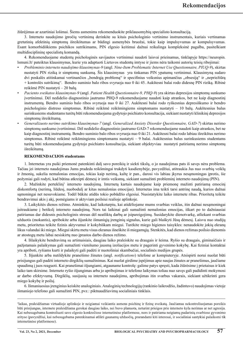žiūrėjimas ar azartiniai lošimai. Šiems asmenims rekomenduokite priklausomybių specialisto konsultaciją.

3. Interneto naudojimo įpročių vertinimą derinkite su kitais psichologinio vertinimo instrumentais, kuriais vertinamas gretutinių afektinių simptomų išreikštumas ar būdingi asmenybės bruožai, tokie kaip impulsyvumas ar kompulsyvumas. Esant komorbidiškiems psichikos sutrikimams, PIN elgesio keitimui dažnai reikalinga kompleksinė pagalba, pasitelkiant multidisciplininę specialistų komandą.

4. Rekomenduojame studentų psichologinės savijautos vertinimui naudoti laisvai prieinamus, tinklapyje https://neuropin. lsmuni.lt/ pateiktus klausimynus, kurie yra adaptuoti Lietuvos studentų imtyse ir jiems nėra taikomi autorių teisių ribojimai:

- *Probleminio interneto naudojimo klausimynas-9* (angl. *Nine-Item Problematic Internet Use Questionnaire, PIUQ-9*), skirtas nustatyti PIN riziką ir simptomų sunkumą. Šis klausimynas yra tinkamas PIN ypatumų vertinimui. Klausimyną sudaro dvi poskalės atitinkamai vertinančios "bendrąją problemą" ir specifinius veiksnius apimančius "obsesiją" ir "nepriežiūrą + kontrolės sutrikimą". Bendro suminio balo ribos svyruoja nuo 0 iki 45. Aukštesni balai rodo didesnę PIN riziką. Ribinė reikšmė PIN nustatyti – 20 balų.
- *Paciento sveikatos klausimynas-9* (angl. *Patient Health Questionnaire-9, PHQ-9*) yra skirtas depresijos simptomų sunkumo įvertinimui. Dėl nedidelio diagnostinio jautrumo PHQ-9 rekomenduojame naudoti kaip atrankos, bet ne kaip diagnostinį instrumentą. Bendro suminio balo ribos svyruoja nuo 0 iki 27. Aukštesni balai rodo ryškesnius depresiškumo ir bendro psichologinio distreso simptomus. Ribinė reikšmė reikšmingiems simptomams nustatyti – 10 balų. Aukštesnius balus surinkusiems studentams turėtų būti rekomenduojama gydytojo psichiatro konsultacija, siekiant nustatyti klinikinį depresijos simptomų išreikštumą.
- *Generalizuoto nerimo sutrikimo klausimynas-7* (angl. *Generalized Anxiety Disorder Questionnaire, GAD-7*) skirtas nerimo simptomų sunkumo įvertinimui. Dėl nedidelio diagnostinio jautrumo GAD-7 rekomenduojame naudoti kaip atrankos, bet ne kaip diagnostinį instrumentą. Bendro suminio balo ribos svyruoja nuo 0 iki 21. Aukštesni balai rodo labiau išreikštus nerimo simptomus. Ribinė reikšmė reikšmingiems simptomams nustatyti – 9 balai. Aukštesnius balus surinkusiems studentams turėtų būti rekomenduojama gydytojo psichiatro konsultacija, siekiant objektyviau nustatyti patiriamų nerimo simptomų išreikštumą.

### **REKOMENDACIJOS studentams**

1. Internetas yra puiki priemonė patenkinti dalį savo poreikių ir siekti tikslų, o jo naudojimas pats iš savęs nėra problema. Tačiau jei interneto naudojimas Jums pradeda reikšmingai trukdyti kasdienybėje, pavyzdžiui, atitraukia Jus nuo svarbių veiklų ir žmonių, sukelia nemalonias emocijas, tokias kaip nerimą, kaltę ir pan., darosi vis labiau įkyrus nesąmoningas įprotis, šie požymiai gali rodyti, kad būtina atkreipti dėmesį ir imtis veiksmų, siekiant sumažinti probleminį interneto naudojimą (PIN).

2. Mažinkite perteklinį<sup>1</sup> interneto naudojimą. Internetą kartais naudojame kaip priemonę mažinti patiriamą emocinį diskomfortą (nerimą, liūdesį, nuobodulį ar kitas nemalonias emocijas). Internetas ima teikti tarsi antrinę naudą, kurios dažnai sąmoningai net nesuvokiame. Todėl būkite atidūs tokio pobūdžio elgesiui. Nusistatykite laiko internete ribas. Prioritetą teikite bendravimui akis į akį, pomėgiams ir aktyviam poilsiui realioje aplinkoje.

3. Laikykitės dienos režimo. Atminkite, kad laikotarpiu, kai atidėliojame mums svarbias veiklas, itin dažnai nesąmoningai įsitraukiame į betikslį interneto naudojimą. Nors tai laikinai gali sumažinti nemalonias emocijas, iškart po to dažniausiai patiriamas dar didesnis psichologinis stresas dėl neatliktų darbų ar įsipareigojimų. Susidarykite dienotvarkę, atliekant svarbias užduotis (mokantis), apribokite arba išjunkite išmaniųjų įrenginių signalus, kurie gali blaškyti Jūsų dėmesį. Laisvu nuo studijų metu, prioritetus teikite fizinis aktyvumui ir kokybiškam miegui. Turėkite miego higienos taisykles: nenaudokite jokių ekranų likus valandai iki miego. Miegui skirtu metu visus ekranus išneškite iš miegamųjų. Stenkitės, kad dienos režimas poilsio dienomis ar atostogų metu labai nesiskirtų nuo įprastos darbo dienos režimo.

4. Išlaikykite bendravimą su artimaisiais, daugiau laiko praleiskite su draugais ir šeima. Ryšio su draugais, giminaičiais ir pažįstamais palaikymas gali sumažinti vienišumo jausmą izoliacijos metu ir pagerinti gyvenimo kokybę. Kai fiziniai kontaktai yra apriboti, ryšiams kurti ir palaikyti gali padėti ir nuotoliniai skambučiai, socialinės medijos grupės.

5. Išjunkite arba nutildykite pranešimo žinutes (angl. *notifications*) telefone ar kompiuteryje. Atsispirti norui nuolat būti prisijungus gali padėti interneto dirgiklių sumažinimas. Kai nuolat girdime įspėjimus apie naujas žinutes ar pranešimus, jaučiame spaudimą į juos reaguoti. Kai pranešimai išjungiami, atgauname kontrolę: galime patys spręsti, kada žiūrėsime į prietaisus ir kiek laiko tam skirsime. Interneto ryšio išjungimas arba jo apribojimas ir telefono laikymas toliau nuo savęs gali padidinti mokymosi ar darbo efektyvumą. Dirgiklių, susijusių su interneto naudojimu, apribojimas itin svarbus vakarais, siekiant užtikrinti gera miego kokybę ir poilsį.

6. Išmaniuosius įrenginius keiskite analoginiais. Analoginių technologijų (rankinio laikrodžio, žadintuvo) naudojimas vietoje išmaniojo telefono gali sumažinti PIN, pvz.: piktnaudžiavimą socialiniais tinklais.

<sup>1</sup> laikas, praleidžiamas virtualioje aplinkoje ir neigiamai veikiantis asmens psichinę ir fizinę sveikatą. Jaučiamas nekontroliuojamas poreikis būti prisijungus, internete praleidžiama gerokai daugiau laiko, nei buvo planuota, neturint prieigos prie interneto kyla nerimas ar net agresija. Kai nebesugebama kontroliuoti savo elgesio konkrečiose internetinėse platformose, nors ir patiriama neigiamų padarinių svarbiose gyvenimo srityse (pavyzdžiui, kai nebesugebama patenkinamai atlikti gaunamų užduočių, prarandami kiti interesai, ir socialiniai santykiai palaikomi tik internetinėse platformose).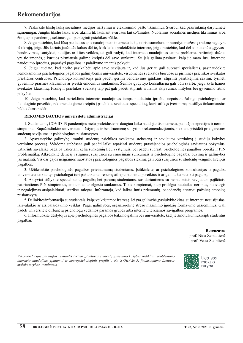### **Rekomendacijos**

7. Paskirkite tikslų laiką socialinės medijos naršymui ir elektroninio pašto tikrinimui. Svarbu, kad pasirinkimą darytumėte sąmoningai. Jungtis tiksliu laiku arba tikrinti tik laukiant svarbaus laiško/žinutės. Nuolatinis socialinės medijos tikrinimas arba žinių apie pandemiją sekimas gali pabloginti psichikos būklę.

8. Jeigu pastebite, kad Jūsų paklausus apie naudojimosi internetu laiką, norisi sumeluoti ir nurodyti mažesnę trukmę negu yra iš tikrųjų, jeigu Jūs kartais jaučiatės kaltas dėl to, kiek laiko praleidžiate internete, jeigu pastebite, kad dėl to nukenčia "gyvas" bendravimas, santykiai, studijos ar kitos veiklos, tai gali rodyti, kad interneto naudojimas tampa problema. Artimieji dažnai yra tie žmonės, į kuriuos pirmiausia galime kreiptis dėl savo sunkumų. Su jais galima pasitarti, kaip jie mato Jūsų interneto naudojimo įpročius, paprašyti pagalbos ir palaikymo imantis pokyčių.

9. Jeigu jaučiate, kad norite pasikalbėti apie savo savijautą ir, kad Jus geriau gali suprasti specialistas, pasinaudokite nemokamomis psichologinės pagalbos galimybėmis universitete, visuomenės sveikatos biuruose ar pirminės psichikos sveikatos priežiūros centruose. Psichologo konsultacija gali padėti gerinti bendravimo įgūdžius, stiprinti pasitikėjimą savimi, tyrinėti gyvenimo prasmės klausimus ar įveikti emocinius sunkumus. Šeimos gydytojo konsultacija gali būti svarbi, jeigu kyla fizinės sveikatos klausimų. Fizinę ir psichikos sveikatą taip pat gali padėti stiprinti ir fizinis aktyvumas, mitybos bei gyvenimo ritmo pokyčiai.

10. Jeigu pastebite, kad perteklinis interneto naudojimas tampa nuolatiniu įpročiu, nepaisant žalingo psichologinio ar fiziologinio poveikio, rekomenduojame kreiptis į psichikos sveikatos specialistą, kuris atlikęs įvertinimą, pasiūlys tinkamiausius būdus Jums padėti.

### **REKOMENDACIJOS universitetų administracijai**

1. Studentams, COVID-19 pandemijos metu praleidusiems daugiau laiko naudojantis internetu, padidėjo depresijos ir nerimo simptomai. Supažindinkite universiteto dėstytojus ir bendruomenę su tyrimo rekomendacijomis, siekiant prisidėti prie geresnės studentų savijautos ir psichologinės pusiausvyros.

2. Apsvarstykite galimybę įtraukti studentų psichikos sveikatos stebėseną ir savijautos vertinimą į studijų kokybės vertinimo procesą. Vykdoma stebėsena gali padėti laiku atpažinti studentų prastėjančios psichologinės savijautos požymius, užtikrinti savalaikę pagalbą užkertant kelią sunkesnių ligų vystymuisi bei padėti suprasti psichologinės pagalbos poreikį ir PIN problematiką. Atkreipkite dėmesį į stigmos, susijusios su emociniais sunkumais ir psichologine pagalba, buvimą ir galimybes jas mažinti. Vis dar gajos neigiamos nuostatos į psichologinės pagalbos siekimą gali būti susijusios su studentų vengimu kreiptis pagalbos.

3. Užtikrinkite psichologinės pagalbos prieinamumą studentams. Įsitikinkite, ar psichologines konsultacijas ir pagalbą universitete teikiantys psichologai turi pakankamai resursų atliepti studentų poreikius ir ar gali laiku suteikti pagalbą.

4. Aktyviai siūlykite specializuotą pagalbą bei paramą studentams, susiduriantiems su nemaloniais savijautos pojūčiais, patiriantiems PIN simptomus, emocinius ar elgesio sunkumus. Tokie simptomai, kaip prislėgta nuotaika, nerimas, nuovargis ir negalėjimas atsipalaiduoti, sutrikęs miegas, informuoja, kad laikas imtis priemonių, padedančių atstatyti pažeistą emocinę pusiausvyrą.

5. Dalinkitės informacija su studentais, kaip įveikti įtampą ir stresą. Jei yra galimybė, pasiūlykite kitas, su internetu nesusijusias, laisvalaikio ar atsipalaidavimo veiklas. Pagal galimybes, organizuokite streso mažinimo įgūdžių formavimo užsiėmimus. Gali padėti universitete dirbančių psichologų vedamos paramos grupės arba internetu teikiamos savigalbos programos.

6. Informuokite dėstytojus apie psichologinės pagalbos teikimo galimybes universitete, kad jie žinotų kur nukreipti studentus pagalbai.

### **Recenzavo:** prof. Nida Žemaitienė

prof. Vesta Steiblienė

*Rekomendacijos parengtos remiantis tyrimo "Lietuvos studentų gyvenimo kokybės rodikliai: probleminio interneto naudojimo ypatumai ir neuropsichologinis profilis", Nr. S-GEV-20-5, finansuojamo Lietuvos mokslo tarybos, rezultatais.*



Lietuvos mokslo taryba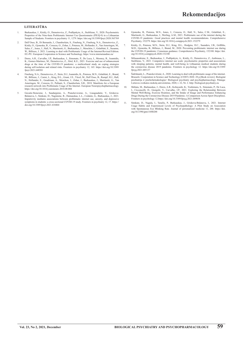#### **literatūra**

- 1. Burkauskas, J., Király, O., Demetrovics, Z., Podlipskyte, A., Steibliene, V., 2020. Psychometric Properties of the Nine-Item Problematic Internet Use Questionnaire (PIUQ-9) in a Lithuan Sample of Students. Frontiers in psychiatry 11, 1279. https://doi.org/10.3389/fpsyt.2020.565769
- 2. Dell'Osso, B., Di Bernardo, I., Chamberlain, S., Fineberg, N., Fineberg, N.A., Demetrovics, Z., Király, O., Gjoneska, B., Corazza, O., Zohar, J., Potenza, M., Hollander, E., Van Ameringen, M., Sales, C., Jones, J., Hall, N., Martinotti, G., Burkauskas, J., Menchón, J., Grünblatt, E., Susanne, W., Billieux, J. 2021. Learning to deal with Problematic Usage of the Internet/Revised Edition. EU-PU: European Cooperation in Science and Technology. https://www.internetandme.eu/
- 3. Dores, A.R., Carvalho, I.P., Burkauskas, J., Simonato, P., De Luca, I., Mooney, R., Ioannidis, K., Gomez-Martinez, M., Demetrovics, Z., Abel, K.E., 2021. Exercise and use of enhancement<br>drugs at the time of the COVID-19 pandemic: a multicultural study on coping strategies<br>during self-isolation and related risks. Fro fpsyt.2021.648501
- 4. Fineberg, N.A., Demetrovics, Z., Stein, D.J., Ioannidis, K., Potenza, M.N., Grünblatt, E., Brand, M., Billieux, J., Carmi, L., King, D.L., Grant, J.E., Yücel, M., Dell'Osso, B., Rumpf, H.J., Hall, N., Hollander, E., Goudriaan, A., Menchon, J., Zohar, J., Burkauskas, J., Martinotti, G., Van Ameringen, M., Corazza, O., Pallanti, S., Chamberlain, S.R., 2018. Manifesto for a European research network into Problematic Usage of the Internet. European Neuropsychopharmacology. https://doi.org/10.1016/j.euroneuro.2018.08.004
- 5. Gecaite-Stonciene, J., Saudargiene, A., Pranckeviciene, A., Liaugaudaite, V., Griskova-Bulanova, I., Simkute, D., Naginiene, R., Dainauskas, L.L., Ceidaite, G., Burkauskas, J., 2021. Impulsivity mediates associations between problematic internet use, anxiety, and depressive symptoms in students: a cross-sectional COVID-19 study. Frontiers in psychiatry 12, 17. https:// doi.org/10.3389/fpsyt.2021.634464
- 6. Gjoneska, B., Potenza, M.N., Jones, J., Corazza, O., Hall, N., Sales, C.M., Grünblatt, E., Martinotti, G., Burkauskas, J., Werling, A.M., 2021. Problematic use of the internet during the COVID-19 pandemic: Good practices and mental health recommentations. Comprehensive<br>COVID-19 pandemic: Good practices and menta
- 7. Király, O., Potenza, M.N., Stein, D.J., King, D.L., Hodgins, D.C., Saunders, J.B., Griffiths, M.D., Gjoneska, B., Billieux, J., Brand, M., 2020. Preventing problematic internet use during the COVID-19 pandemic: Consensus guidance. Comprehensive Psychiatry, 152180. https://doi. org/10.1016/j.comppsych.2020.152180
- 8. Milasauskiene, E., Burkauskas, J., Podlipskyte, A., Király, O., Demetrovics, Z., Ambrasas, L., Steibliene, V., 2021. Compulsive internet use scale: psychometric properties and associations with sleeping patterns, mental health, and well-being in Lithuanian medical students during the coronavirus disease 2019 pandemic. Frontiers in psychology 12. https://doi.org/10.3389/ fpsyg.2021.685137
- 9. Šalčiūnaitė, L., Pranckevičienė, A., 2020. Learning to deal with problematic usage of the internet. Brussels: Cooperation in Science and Technology (COST) 2020. 28 p.[Book review]. Biologinė psichiatrija ir psichofarmakologija= Biological psychiatry and psychopharmacology. Palanga: Lietuvos sveikatos mokslų universitetas, 2020, t. 22, Nr. 2. http://biological-psychiatry.eu
- 10. Shibata, M., Burkauskas, J., Dores, A.R., Kobayashi, K., Yoshimura, S., Simonato, P., De Luca, I., Cicconcelli, D., Giorgetti, V., Carvalho, I.P., 2021. Exploring the Relationship Between Mental Well-Being, Exercise Ro Drugs During the Coronavirus Disease 2019 Pandemic: A Comparison Across Sport Disciplines. Frontiers in psychology 12.https://doi.org/10.3389/fpsyg.2021.689058
- 11. Simkute, D., Nagula, I., Tarailis, P., Burkauskas, J., Griskova-Bulanova, I., 2021. Internet<br>Usage Habits and Experienced Levels of Psychopathology: A Pilot Study on Association<br>with Spontaneous Eye Blinking Rate. Jour org/10.3390/jpm11040288